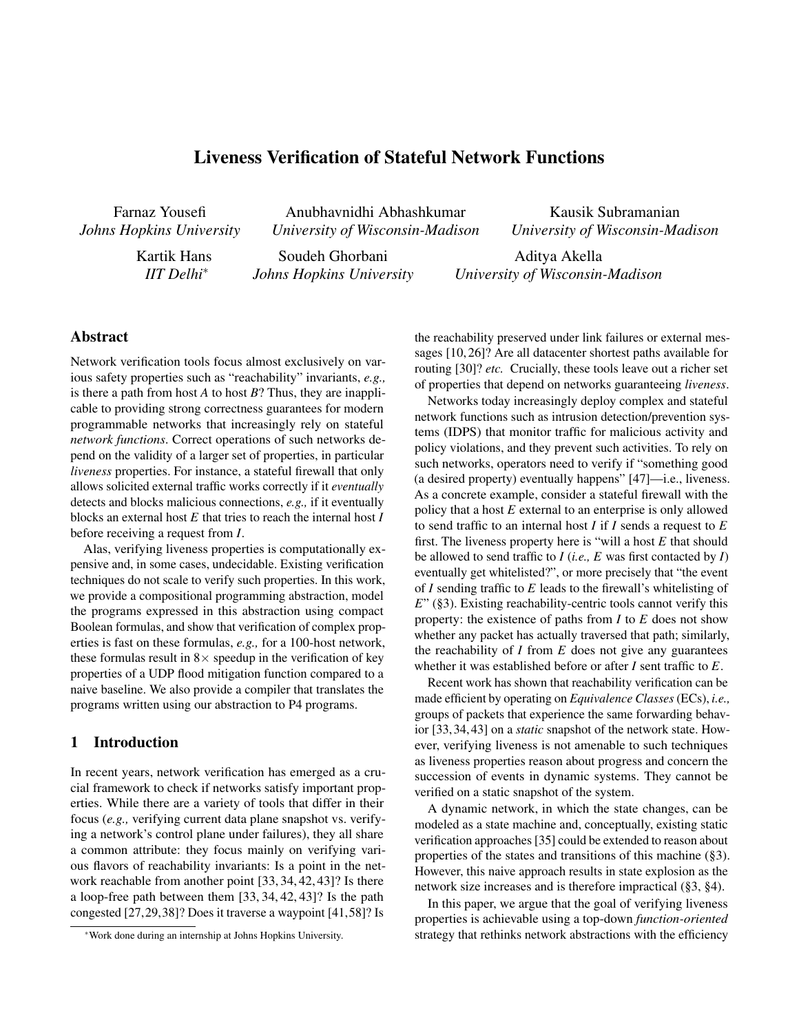# Liveness Verification of Stateful Network Functions

Farnaz Yousefi *Johns Hopkins University*

Anubhavnidhi Abhashkumar *University of Wisconsin-Madison*

Kartik Hans *IIT Delhi*⇤

Soudeh Ghorbani *Johns Hopkins University* *University of Wisconsin-Madison* Aditya Akella

Kausik Subramanian

# Abstract

Network verification tools focus almost exclusively on various safety properties such as "reachability" invariants, *e.g.,* is there a path from host *A* to host *B*? Thus, they are inapplicable to providing strong correctness guarantees for modern programmable networks that increasingly rely on stateful *network functions*. Correct operations of such networks depend on the validity of a larger set of properties, in particular *liveness* properties. For instance, a stateful firewall that only allows solicited external traffic works correctly if it *eventually* detects and blocks malicious connections, *e.g.,* if it eventually blocks an external host *E* that tries to reach the internal host *I* before receiving a request from *I*.

Alas, verifying liveness properties is computationally expensive and, in some cases, undecidable. Existing verification techniques do not scale to verify such properties. In this work, we provide a compositional programming abstraction, model the programs expressed in this abstraction using compact Boolean formulas, and show that verification of complex properties is fast on these formulas, *e.g.,* for a 100-host network, these formulas result in  $8 \times$  speedup in the verification of key properties of a UDP flood mitigation function compared to a naive baseline. We also provide a compiler that translates the programs written using our abstraction to P4 programs.

### 1 Introduction

In recent years, network verification has emerged as a crucial framework to check if networks satisfy important properties. While there are a variety of tools that differ in their focus (*e.g.,* verifying current data plane snapshot vs. verifying a network's control plane under failures), they all share a common attribute: they focus mainly on verifying various flavors of reachability invariants: Is a point in the network reachable from another point [33, 34, 42, 43]? Is there a loop-free path between them [33, 34, 42, 43]? Is the path congested [27,29,38]? Does it traverse a waypoint [41,58]? Is

the reachability preserved under link failures or external messages [10, 26]? Are all datacenter shortest paths available for routing [30]? *etc.* Crucially, these tools leave out a richer set of properties that depend on networks guaranteeing *liveness*.

*University of Wisconsin-Madison*

Networks today increasingly deploy complex and stateful network functions such as intrusion detection/prevention systems (IDPS) that monitor traffic for malicious activity and policy violations, and they prevent such activities. To rely on such networks, operators need to verify if "something good (a desired property) eventually happens" [47]—i.e., liveness. As a concrete example, consider a stateful firewall with the policy that a host *E* external to an enterprise is only allowed to send traffic to an internal host *I* if *I* sends a request to *E* first. The liveness property here is "will a host *E* that should be allowed to send traffic to  $I$  (*i.e.*,  $E$  was first contacted by  $I$ ) eventually get whitelisted?", or more precisely that "the event of *I* sending traffic to *E* leads to the firewall's whitelisting of *E*" (§3). Existing reachability-centric tools cannot verify this property: the existence of paths from *I* to *E* does not show whether any packet has actually traversed that path; similarly, the reachability of *I* from *E* does not give any guarantees whether it was established before or after *I* sent traffic to *E*.

Recent work has shown that reachability verification can be made efficient by operating on *Equivalence Classes* (ECs), *i.e.,* groups of packets that experience the same forwarding behavior [33, 34, 43] on a *static* snapshot of the network state. However, verifying liveness is not amenable to such techniques as liveness properties reason about progress and concern the succession of events in dynamic systems. They cannot be verified on a static snapshot of the system.

A dynamic network, in which the state changes, can be modeled as a state machine and, conceptually, existing static verification approaches [35] could be extended to reason about properties of the states and transitions of this machine (§3). However, this naive approach results in state explosion as the network size increases and is therefore impractical (§3, §4).

In this paper, we argue that the goal of verifying liveness properties is achievable using a top-down *function-oriented* strategy that rethinks network abstractions with the efficiency

<sup>⇤</sup>Work done during an internship at Johns Hopkins University.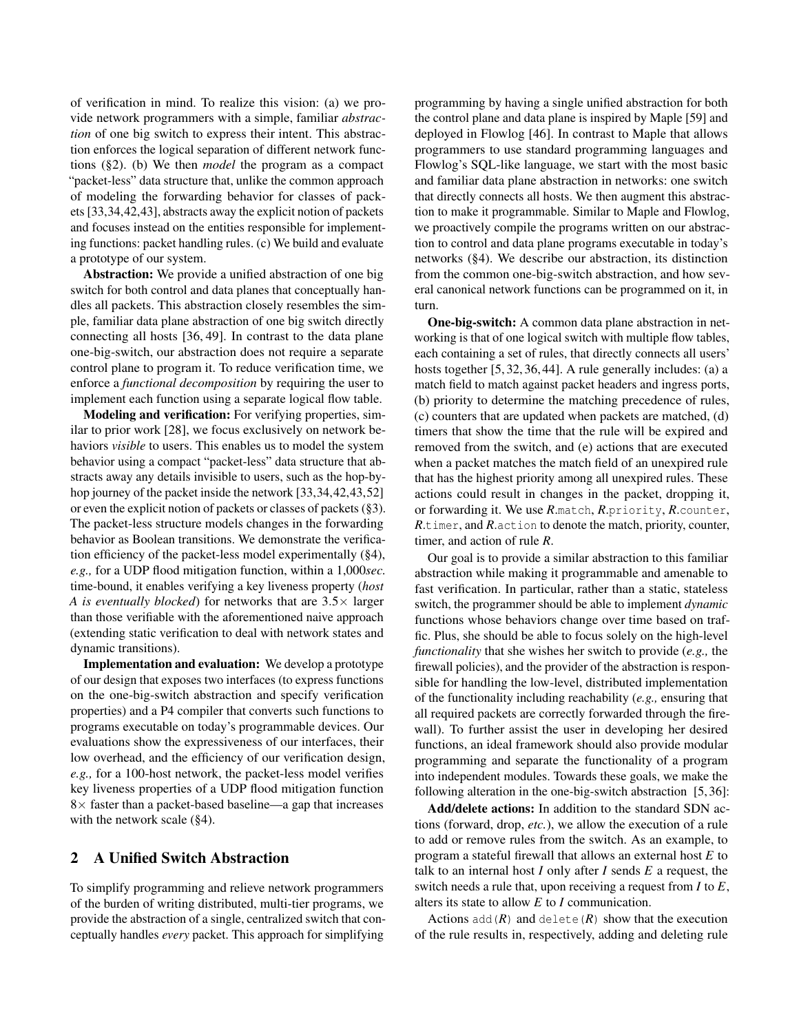of verification in mind. To realize this vision: (a) we provide network programmers with a simple, familiar *abstraction* of one big switch to express their intent. This abstraction enforces the logical separation of different network functions (§2). (b) We then *model* the program as a compact "packet-less" data structure that, unlike the common approach of modeling the forwarding behavior for classes of packets [33,34,42,43], abstracts away the explicit notion of packets and focuses instead on the entities responsible for implementing functions: packet handling rules. (c) We build and evaluate a prototype of our system.

Abstraction: We provide a unified abstraction of one big switch for both control and data planes that conceptually handles all packets. This abstraction closely resembles the simple, familiar data plane abstraction of one big switch directly connecting all hosts [36, 49]. In contrast to the data plane one-big-switch, our abstraction does not require a separate control plane to program it. To reduce verification time, we enforce a *functional decomposition* by requiring the user to implement each function using a separate logical flow table.

Modeling and verification: For verifying properties, similar to prior work [28], we focus exclusively on network behaviors *visible* to users. This enables us to model the system behavior using a compact "packet-less" data structure that abstracts away any details invisible to users, such as the hop-byhop journey of the packet inside the network [33,34,42,43,52] or even the explicit notion of packets or classes of packets (§3). The packet-less structure models changes in the forwarding behavior as Boolean transitions. We demonstrate the verification efficiency of the packet-less model experimentally (§4), *e.g.,* for a UDP flood mitigation function, within a 1,000*sec.* time-bound, it enables verifying a key liveness property (*host A is eventually blocked*) for networks that are  $3.5 \times$  larger than those verifiable with the aforementioned naive approach (extending static verification to deal with network states and dynamic transitions).

Implementation and evaluation: We develop a prototype of our design that exposes two interfaces (to express functions on the one-big-switch abstraction and specify verification properties) and a P4 compiler that converts such functions to programs executable on today's programmable devices. Our evaluations show the expressiveness of our interfaces, their low overhead, and the efficiency of our verification design, *e.g.,* for a 100-host network, the packet-less model verifies key liveness properties of a UDP flood mitigation function  $8\times$  faster than a packet-based baseline—a gap that increases with the network scale (§4).

## 2 A Unified Switch Abstraction

To simplify programming and relieve network programmers of the burden of writing distributed, multi-tier programs, we provide the abstraction of a single, centralized switch that conceptually handles *every* packet. This approach for simplifying

programming by having a single unified abstraction for both the control plane and data plane is inspired by Maple [59] and deployed in Flowlog [46]. In contrast to Maple that allows programmers to use standard programming languages and Flowlog's SQL-like language, we start with the most basic and familiar data plane abstraction in networks: one switch that directly connects all hosts. We then augment this abstraction to make it programmable. Similar to Maple and Flowlog, we proactively compile the programs written on our abstraction to control and data plane programs executable in today's networks (§4). We describe our abstraction, its distinction from the common one-big-switch abstraction, and how several canonical network functions can be programmed on it, in turn.

One-big-switch: A common data plane abstraction in networking is that of one logical switch with multiple flow tables, each containing a set of rules, that directly connects all users' hosts together [5, 32, 36, 44]. A rule generally includes: (a) a match field to match against packet headers and ingress ports, (b) priority to determine the matching precedence of rules, (c) counters that are updated when packets are matched, (d) timers that show the time that the rule will be expired and removed from the switch, and (e) actions that are executed when a packet matches the match field of an unexpired rule that has the highest priority among all unexpired rules. These actions could result in changes in the packet, dropping it, or forwarding it. We use *R*.match, *R*.priority, *R*.counter, *R*.timer, and *R*.action to denote the match, priority, counter, timer, and action of rule *R*.

Our goal is to provide a similar abstraction to this familiar abstraction while making it programmable and amenable to fast verification. In particular, rather than a static, stateless switch, the programmer should be able to implement *dynamic* functions whose behaviors change over time based on traffic. Plus, she should be able to focus solely on the high-level *functionality* that she wishes her switch to provide (*e.g.,* the firewall policies), and the provider of the abstraction is responsible for handling the low-level, distributed implementation of the functionality including reachability (*e.g.,* ensuring that all required packets are correctly forwarded through the firewall). To further assist the user in developing her desired functions, an ideal framework should also provide modular programming and separate the functionality of a program into independent modules. Towards these goals, we make the following alteration in the one-big-switch abstraction [5, 36]:

Add/delete actions: In addition to the standard SDN actions (forward, drop, *etc.*), we allow the execution of a rule to add or remove rules from the switch. As an example, to program a stateful firewall that allows an external host *E* to talk to an internal host *I* only after *I* sends *E* a request, the switch needs a rule that, upon receiving a request from *I* to *E*, alters its state to allow *E* to *I* communication.

Actions  $add(R)$  and delete(*R*) show that the execution of the rule results in, respectively, adding and deleting rule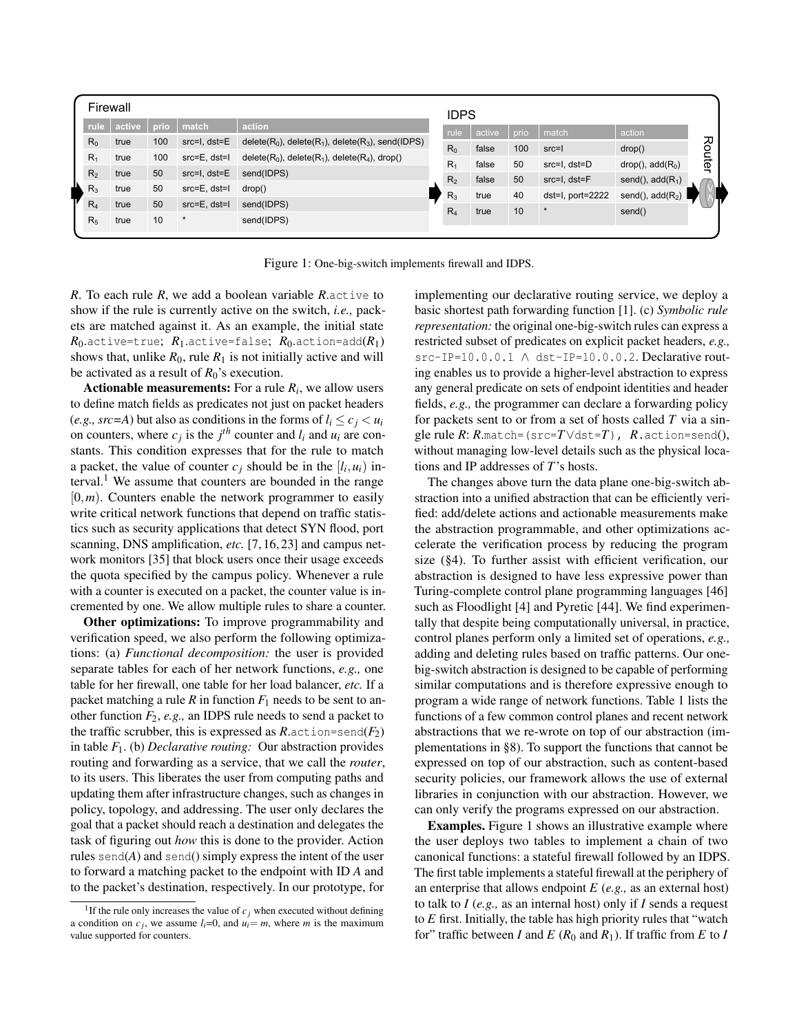|       |                | Firewall |      |                   |                                                              | <b>IDPS</b>    |        |      |                   |                              |        |
|-------|----------------|----------|------|-------------------|--------------------------------------------------------------|----------------|--------|------|-------------------|------------------------------|--------|
|       | rule           | active   | prio | match             | action                                                       | rule           | active | prio | match             | action                       |        |
|       | $R_0$          | true     | 100  | src=I, dst=E      | $delete(R_0)$ , delete $(R_1)$ , delete $(R_3)$ , send(IDPS) | $R_0$          | false  | 100  | $src = 1$         | drop()                       |        |
| $R_1$ |                | true     | 100  | src=E, dst=I      | $delete(R_0)$ , $delete(R_1)$ , $delete(R_4)$ , $drop()$     | $R_1$          | false  | 50   | src=l, dst=D      | drop(), add(R <sub>0</sub> ) | Router |
|       | R <sub>2</sub> | true     | 50   | src=I, dst=E      | send(IDPS)                                                   |                |        |      |                   |                              |        |
| $R_3$ |                | true     | 50   | $src=E$ , $dst=1$ | drop()                                                       | R <sub>2</sub> | false  | 50   | $src=I$ , $dst=F$ | send(), $add(R_1)$           |        |
| $R_4$ |                | true     | 50   | $src=E$ , $dst=1$ | send(IDPS)                                                   | $R_3$          | true   | 40   | dst=I, port=2222  | send(), $add(R2)$            |        |
|       | R <sub>5</sub> | true     | 10   |                   | send(IDPS)                                                   | $R_4$          | true   | 10   |                   | send()                       |        |
|       |                |          |      |                   |                                                              |                |        |      |                   |                              |        |

Figure 1: One-big-switch implements firewall and IDPS.

*R*. To each rule *R*, we add a boolean variable *R*.active to show if the rule is currently active on the switch, *i.e.,* packets are matched against it. As an example, the initial state  $R_0$ .active=true;  $R_1$ .active=false;  $R_0$ .action=add( $R_1$ ) shows that, unlike  $R_0$ , rule  $R_1$  is not initially active and will be activated as a result of *R*0's execution.

Actionable measurements: For a rule *Ri*, we allow users to define match fields as predicates not just on packet headers (*e.g., src*=*A*) but also as conditions in the forms of  $l_i \leq c_j < u_i$ on counters, where  $c_j$  is the  $j^{th}$  counter and  $l_i$  and  $u_i$  are constants. This condition expresses that for the rule to match a packet, the value of counter  $c_j$  should be in the  $[l_i, u_i]$  interval.<sup>1</sup> We assume that counters are bounded in the range  $[0, m)$ . Counters enable the network programmer to easily write critical network functions that depend on traffic statistics such as security applications that detect SYN flood, port scanning, DNS amplification, *etc.* [7, 16, 23] and campus network monitors [35] that block users once their usage exceeds the quota specified by the campus policy. Whenever a rule with a counter is executed on a packet, the counter value is incremented by one. We allow multiple rules to share a counter.

Other optimizations: To improve programmability and verification speed, we also perform the following optimizations: (a) *Functional decomposition:* the user is provided separate tables for each of her network functions, *e.g.,* one table for her firewall, one table for her load balancer, *etc.* If a packet matching a rule  $R$  in function  $F_1$  needs to be sent to another function  $F_2$ ,  $e.g.,$  an IDPS rule needs to send a packet to the traffic scrubber, this is expressed as  $R$ .action=send( $F_2$ ) in table *F*1. (b) *Declarative routing:* Our abstraction provides routing and forwarding as a service, that we call the *router*, to its users. This liberates the user from computing paths and updating them after infrastructure changes, such as changes in policy, topology, and addressing. The user only declares the goal that a packet should reach a destination and delegates the task of figuring out *how* this is done to the provider. Action rules send $(A)$  and send $()$  simply express the intent of the user to forward a matching packet to the endpoint with ID *A* and to the packet's destination, respectively. In our prototype, for

implementing our declarative routing service, we deploy a basic shortest path forwarding function [1]. (c) *Symbolic rule representation:* the original one-big-switch rules can express a restricted subset of predicates on explicit packet headers, *e.g.,* src-IP=10.0.0.1 A dst-IP=10.0.0.2. Declarative routing enables us to provide a higher-level abstraction to express any general predicate on sets of endpoint identities and header fields, *e.g.,* the programmer can declare a forwarding policy for packets sent to or from a set of hosts called *T* via a single rule  $R: R.\text{match} = (\text{src} = T \lor \text{dst} = T)$ ,  $R.\text{action} = \text{send}(),$ without managing low-level details such as the physical locations and IP addresses of *T*'s hosts.

The changes above turn the data plane one-big-switch abstraction into a unified abstraction that can be efficiently verified: add/delete actions and actionable measurements make the abstraction programmable, and other optimizations accelerate the verification process by reducing the program size (§4). To further assist with efficient verification, our abstraction is designed to have less expressive power than Turing-complete control plane programming languages [46] such as Floodlight [4] and Pyretic [44]. We find experimentally that despite being computationally universal, in practice, control planes perform only a limited set of operations, *e.g.,* adding and deleting rules based on traffic patterns. Our onebig-switch abstraction is designed to be capable of performing similar computations and is therefore expressive enough to program a wide range of network functions. Table 1 lists the functions of a few common control planes and recent network abstractions that we re-wrote on top of our abstraction (implementations in §8). To support the functions that cannot be expressed on top of our abstraction, such as content-based security policies, our framework allows the use of external libraries in conjunction with our abstraction. However, we can only verify the programs expressed on our abstraction.

Examples. Figure 1 shows an illustrative example where the user deploys two tables to implement a chain of two canonical functions: a stateful firewall followed by an IDPS. The first table implements a stateful firewall at the periphery of an enterprise that allows endpoint *E* (*e.g.,* as an external host) to talk to *I* (*e.g.,* as an internal host) only if *I* sends a request to *E* first. Initially, the table has high priority rules that "watch for" traffic between *I* and  $E(R_0 \text{ and } R_1)$ . If traffic from  $E$  to *I* 

<sup>&</sup>lt;sup>1</sup>If the rule only increases the value of  $c_j$  when executed without defining a condition on  $c_j$ , we assume  $l_i=0$ , and  $u_i=m$ , where *m* is the maximum value supported for counters.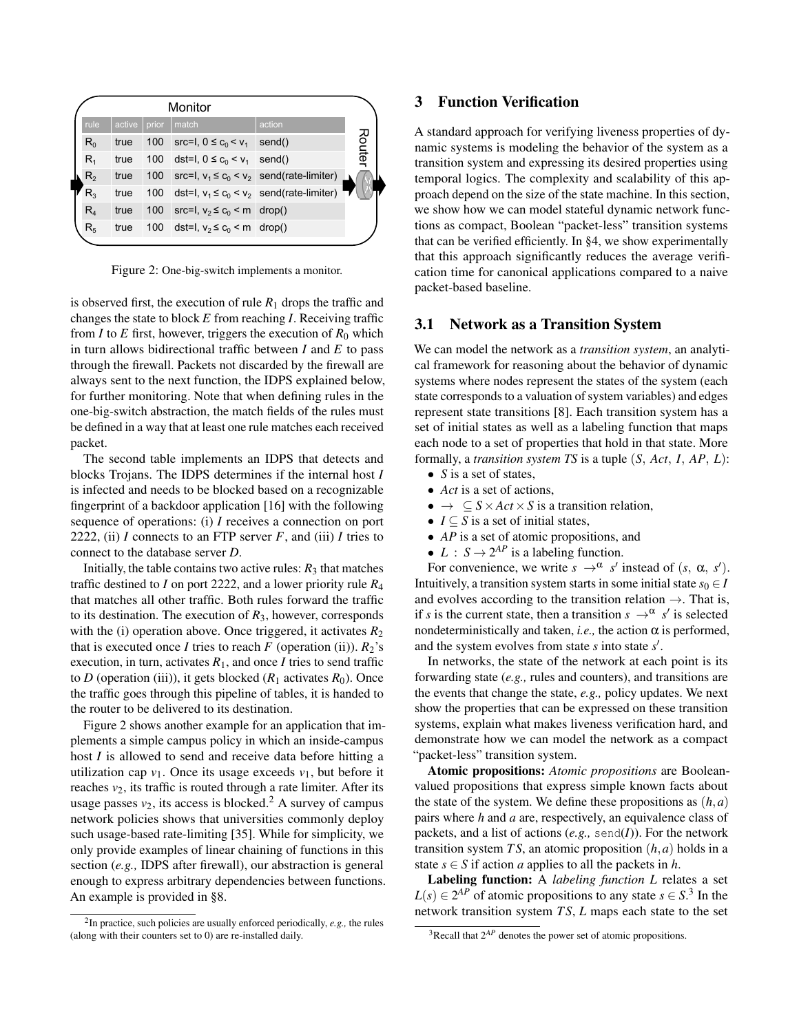|                | Monitor |       |                                                   |        |        |
|----------------|---------|-------|---------------------------------------------------|--------|--------|
| rule           | active  | prior | match                                             | action |        |
| $R_0$          |         |       | true 100 src=1, $0 \le c_0 < v_1$ send()          |        | 공<br>은 |
| $R_{4}$        | true    |       | 100 dst=1, $0 \le c_0 < v_1$ send()               |        |        |
| $R_{2}$        | true    |       | 100 src=l, $v_1 \le c_0 < v_2$ send(rate-limiter) |        |        |
| $R_{3}$        | true    |       | 100 dst=l, $v_1 \le c_0 < v_2$ send(rate-limiter) |        |        |
| $R_4$          | true    |       | 100 src=l, $v_2 \le c_0 < m$ drop()               |        |        |
| R <sub>5</sub> |         |       | true 100 dst=l, $v_2 \le c_0$ < m drop()          |        |        |
|                |         |       |                                                   |        |        |

Figure 2: One-big-switch implements a monitor.

is observed first, the execution of rule  $R_1$  drops the traffic and changes the state to block *E* from reaching *I*. Receiving traffic from *I* to *E* first, however, triggers the execution of  $R_0$  which in turn allows bidirectional traffic between *I* and *E* to pass through the firewall. Packets not discarded by the firewall are always sent to the next function, the IDPS explained below, for further monitoring. Note that when defining rules in the one-big-switch abstraction, the match fields of the rules must be defined in a way that at least one rule matches each received packet.

The second table implements an IDPS that detects and blocks Trojans. The IDPS determines if the internal host *I* is infected and needs to be blocked based on a recognizable fingerprint of a backdoor application [16] with the following sequence of operations: (i) *I* receives a connection on port 2222, (ii) *I* connects to an FTP server  $F$ , and (iii) *I* tries to connect to the database server *D*.

Initially, the table contains two active rules:  $R_3$  that matches traffic destined to *I* on port 2222, and a lower priority rule *R*<sup>4</sup> that matches all other traffic. Both rules forward the traffic to its destination. The execution of *R*3, however, corresponds with the (i) operation above. Once triggered, it activates  $R_2$ that is executed once *I* tries to reach *F* (operation (ii)).  $R_2$ 's execution, in turn, activates  $R_1$ , and once *I* tries to send traffic to *D* (operation (iii)), it gets blocked  $(R_1$  activates  $R_0$ ). Once the traffic goes through this pipeline of tables, it is handed to the router to be delivered to its destination.

Figure 2 shows another example for an application that implements a simple campus policy in which an inside-campus host *I* is allowed to send and receive data before hitting a utilization cap  $v_1$ . Once its usage exceeds  $v_1$ , but before it reaches  $v_2$ , its traffic is routed through a rate limiter. After its usage passes  $v_2$ , its access is blocked.<sup>2</sup> A survey of campus network policies shows that universities commonly deploy such usage-based rate-limiting [35]. While for simplicity, we only provide examples of linear chaining of functions in this section (*e.g.,* IDPS after firewall), our abstraction is general enough to express arbitrary dependencies between functions. An example is provided in §8.

# 3 Function Verification

A standard approach for verifying liveness properties of dynamic systems is modeling the behavior of the system as a transition system and expressing its desired properties using temporal logics. The complexity and scalability of this approach depend on the size of the state machine. In this section, we show how we can model stateful dynamic network functions as compact, Boolean "packet-less" transition systems that can be verified efficiently. In §4, we show experimentally that this approach significantly reduces the average verification time for canonical applications compared to a naive packet-based baseline.

## 3.1 Network as a Transition System

We can model the network as a *transition system*, an analytical framework for reasoning about the behavior of dynamic systems where nodes represent the states of the system (each state corresponds to a valuation of system variables) and edges represent state transitions [8]. Each transition system has a set of initial states as well as a labeling function that maps each node to a set of properties that hold in that state. More formally, a *transition system TS* is a tuple (*S, Act, I, AP, L*):

- *• S* is a set of states,
- *• Act* is a set of actions,
- $\bullet \rightarrow \subseteq S \times Act \times S$  is a transition relation,
- $I \subseteq S$  is a set of initial states,
- *• AP* is a set of atomic propositions, and
- $L : S \rightarrow 2^{AP}$  is a labeling function.

For convenience, we write  $s \rightarrow^{\alpha} s'$  instead of  $(s, \alpha, s')$ . Intuitively, a transition system starts in some initial state  $s_0 \in I$ and evolves according to the transition relation  $\rightarrow$ . That is, if *s* is the current state, then a transition  $s \rightarrow^{\alpha} s'$  is selected nondeterministically and taken, *i.e.*, the action  $\alpha$  is performed, and the system evolves from state  $s$  into state  $s'$ .

In networks, the state of the network at each point is its forwarding state (*e.g.,* rules and counters), and transitions are the events that change the state, *e.g.,* policy updates. We next show the properties that can be expressed on these transition systems, explain what makes liveness verification hard, and demonstrate how we can model the network as a compact "packet-less" transition system.

Atomic propositions: *Atomic propositions* are Booleanvalued propositions that express simple known facts about the state of the system. We define these propositions as  $(h, a)$ pairs where *h* and *a* are, respectively, an equivalence class of packets, and a list of actions  $(e.g., \text{send}(I))$ . For the network transition system *TS*, an atomic proposition  $(h, a)$  holds in a state  $s \in S$  if action *a* applies to all the packets in *h*.

Labeling function: A *labeling function L* relates a set  $L(s) \in 2^{AP}$  of atomic propositions to any state  $s \in S$ <sup>3</sup>. In the network transition system *T S*, *L* maps each state to the set

<sup>2</sup>In practice, such policies are usually enforced periodically, *e.g.,* the rules (along with their counters set to 0) are re-installed daily.

 $3$ Recall that  $2^{AP}$  denotes the power set of atomic propositions.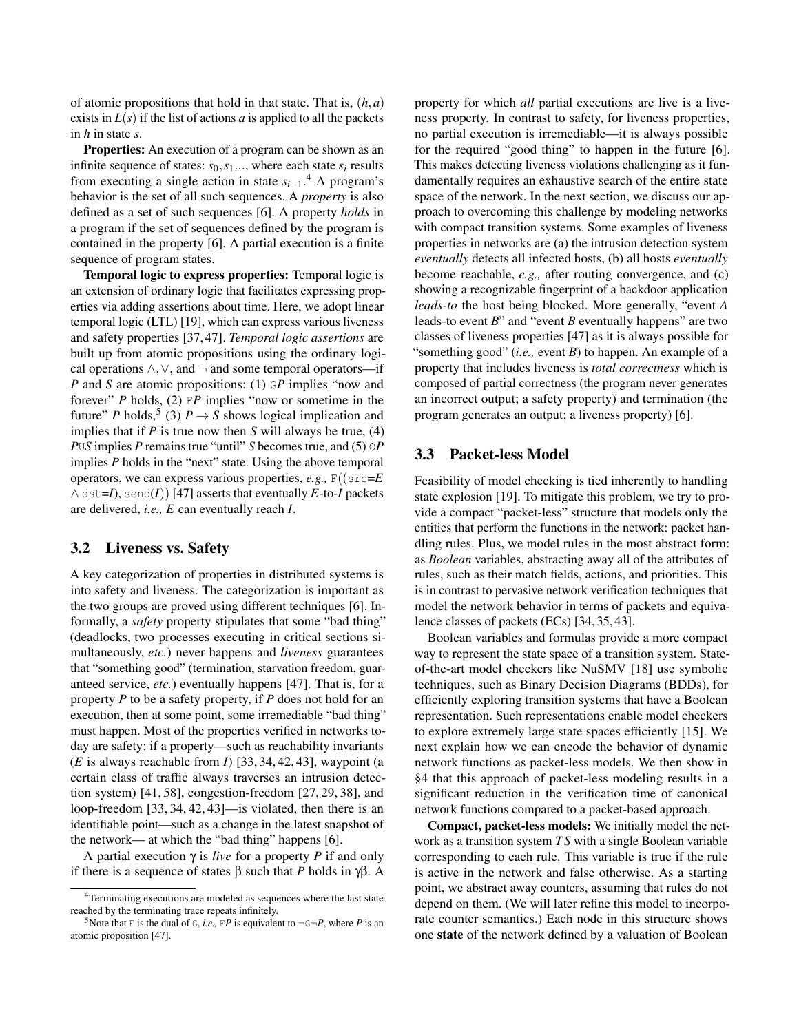of atomic propositions that hold in that state. That is, (*h,a*) exists in  $L(s)$  if the list of actions *a* is applied to all the packets in *h* in state *s*.

Properties: An execution of a program can be shown as an infinite sequence of states:  $s_0, s_1, \ldots$ , where each state  $s_i$  results from executing a single action in state  $s_{i-1}$ .<sup>4</sup> A program's behavior is the set of all such sequences. A *property* is also defined as a set of such sequences [6]. A property *holds* in a program if the set of sequences defined by the program is contained in the property [6]. A partial execution is a finite sequence of program states.

Temporal logic to express properties: Temporal logic is an extension of ordinary logic that facilitates expressing properties via adding assertions about time. Here, we adopt linear temporal logic (LTL) [19], which can express various liveness and safety properties [37, 47]. *Temporal logic assertions* are built up from atomic propositions using the ordinary logical operations  $\land$ ,  $\lor$ , and  $\neg$  and some temporal operators—if *P* and *S* are atomic propositions: (1) GP implies "now and forever" *P* holds, (2) F*P* implies "now or sometime in the future" *P* holds,<sup>5</sup> (3)  $P \rightarrow S$  shows logical implication and implies that if *P* is true now then *S* will always be true, (4) *P*U*S* implies *P* remains true "until" *S* becomes true, and (5) O*P* implies *P* holds in the "next" state. Using the above temporal operators, we can express various properties, *e.g.,* F((src=*E*  $\wedge$  dst=*I*), send(*I*)) [47] asserts that eventually *E*-to-*I* packets are delivered, *i.e., E* can eventually reach *I*.

### 3.2 Liveness vs. Safety

A key categorization of properties in distributed systems is into safety and liveness. The categorization is important as the two groups are proved using different techniques [6]. Informally, a *safety* property stipulates that some "bad thing" (deadlocks, two processes executing in critical sections simultaneously, *etc.*) never happens and *liveness* guarantees that "something good" (termination, starvation freedom, guaranteed service, *etc.*) eventually happens [47]. That is, for a property *P* to be a safety property, if *P* does not hold for an execution, then at some point, some irremediable "bad thing" must happen. Most of the properties verified in networks today are safety: if a property—such as reachability invariants (*E* is always reachable from *I*) [33, 34, 42, 43], waypoint (a certain class of traffic always traverses an intrusion detection system) [41, 58], congestion-freedom [27, 29, 38], and loop-freedom [33, 34, 42, 43]—is violated, then there is an identifiable point—such as a change in the latest snapshot of the network— at which the "bad thing" happens [6].

A partial execution  $\gamma$  is *live* for a property *P* if and only if there is a sequence of states  $\beta$  such that *P* holds in  $\gamma\beta$ . A

property for which *all* partial executions are live is a liveness property. In contrast to safety, for liveness properties, no partial execution is irremediable—it is always possible for the required "good thing" to happen in the future [6]. This makes detecting liveness violations challenging as it fundamentally requires an exhaustive search of the entire state space of the network. In the next section, we discuss our approach to overcoming this challenge by modeling networks with compact transition systems. Some examples of liveness properties in networks are (a) the intrusion detection system *eventually* detects all infected hosts, (b) all hosts *eventually* become reachable, *e.g.,* after routing convergence, and (c) showing a recognizable fingerprint of a backdoor application *leads-to* the host being blocked. More generally, "event *A* leads-to event *B*" and "event *B* eventually happens" are two classes of liveness properties [47] as it is always possible for "something good" (*i.e.,* event *B*) to happen. An example of a property that includes liveness is *total correctness* which is composed of partial correctness (the program never generates an incorrect output; a safety property) and termination (the program generates an output; a liveness property) [6].

### 3.3 Packet-less Model

Feasibility of model checking is tied inherently to handling state explosion [19]. To mitigate this problem, we try to provide a compact "packet-less" structure that models only the entities that perform the functions in the network: packet handling rules. Plus, we model rules in the most abstract form: as *Boolean* variables, abstracting away all of the attributes of rules, such as their match fields, actions, and priorities. This is in contrast to pervasive network verification techniques that model the network behavior in terms of packets and equivalence classes of packets (ECs) [34, 35, 43].

Boolean variables and formulas provide a more compact way to represent the state space of a transition system. Stateof-the-art model checkers like NuSMV [18] use symbolic techniques, such as Binary Decision Diagrams (BDDs), for efficiently exploring transition systems that have a Boolean representation. Such representations enable model checkers to explore extremely large state spaces efficiently [15]. We next explain how we can encode the behavior of dynamic network functions as packet-less models. We then show in §4 that this approach of packet-less modeling results in a significant reduction in the verification time of canonical network functions compared to a packet-based approach.

Compact, packet-less models: We initially model the network as a transition system *T S* with a single Boolean variable corresponding to each rule. This variable is true if the rule is active in the network and false otherwise. As a starting point, we abstract away counters, assuming that rules do not depend on them. (We will later refine this model to incorporate counter semantics.) Each node in this structure shows one state of the network defined by a valuation of Boolean

<sup>4</sup>Terminating executions are modeled as sequences where the last state reached by the terminating trace repeats infinitely.

<sup>&</sup>lt;sup>5</sup>Note that F is the dual of G, *i.e.*, FP is equivalent to  $\neg$ G $\neg$ P, where P is an atomic proposition [47].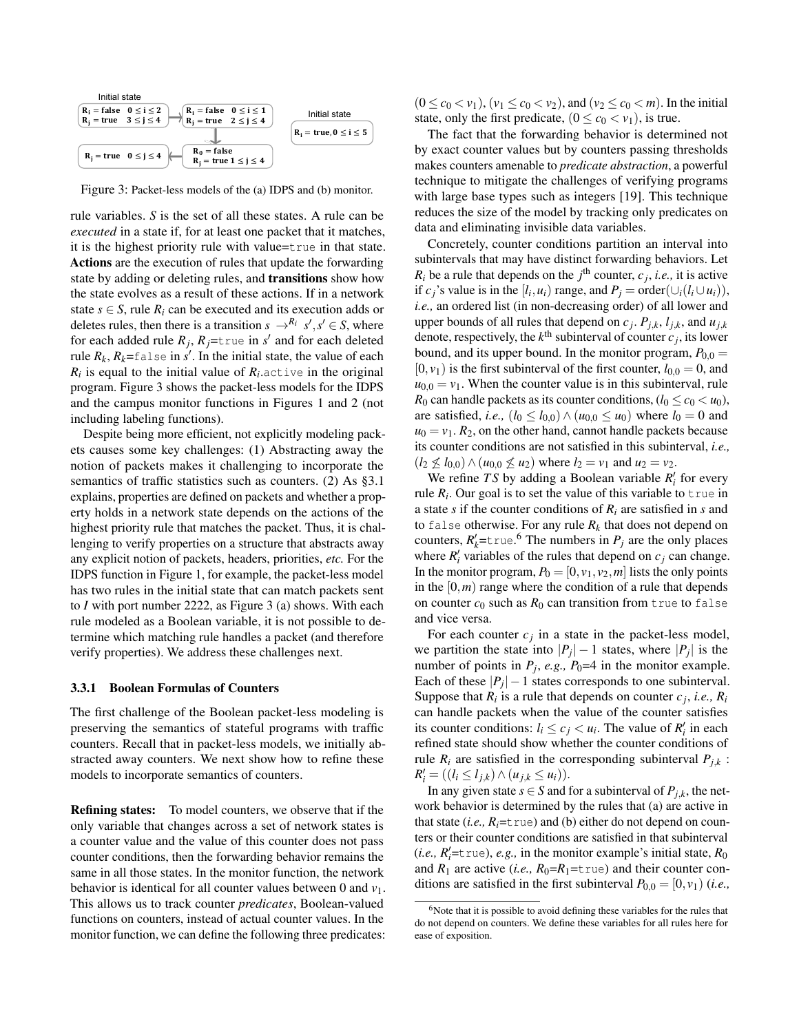

Figure 3: Packet-less models of the (a) IDPS and (b) monitor.

rule variables. *S* is the set of all these states. A rule can be *executed* in a state if, for at least one packet that it matches, it is the highest priority rule with value=true in that state. Actions are the execution of rules that update the forwarding state by adding or deleting rules, and transitions show how the state evolves as a result of these actions. If in a network state  $s \in S$ , rule  $R_i$  can be executed and its execution adds or deletes rules, then there is a transition  $s \rightarrow R_i$   $s', s' \in S$ , where for each added rule  $R_j$ ,  $R_j$ =true in *s'* and for each deleted rule  $R_k$ ,  $R_k$ =false in  $s'$ . In the initial state, the value of each  $R_i$  is equal to the initial value of  $R_i$  active in the original program. Figure 3 shows the packet-less models for the IDPS and the campus monitor functions in Figures 1 and 2 (not including labeling functions).

Despite being more efficient, not explicitly modeling packets causes some key challenges: (1) Abstracting away the notion of packets makes it challenging to incorporate the semantics of traffic statistics such as counters. (2) As §3.1 explains, properties are defined on packets and whether a property holds in a network state depends on the actions of the highest priority rule that matches the packet. Thus, it is challenging to verify properties on a structure that abstracts away any explicit notion of packets, headers, priorities, *etc.* For the IDPS function in Figure 1, for example, the packet-less model has two rules in the initial state that can match packets sent to *I* with port number 2222, as Figure 3 (a) shows. With each rule modeled as a Boolean variable, it is not possible to determine which matching rule handles a packet (and therefore verify properties). We address these challenges next.

#### 3.3.1 Boolean Formulas of Counters

The first challenge of the Boolean packet-less modeling is preserving the semantics of stateful programs with traffic counters. Recall that in packet-less models, we initially abstracted away counters. We next show how to refine these models to incorporate semantics of counters.

Refining states: To model counters, we observe that if the only variable that changes across a set of network states is a counter value and the value of this counter does not pass counter conditions, then the forwarding behavior remains the same in all those states. In the monitor function, the network behavior is identical for all counter values between 0 and *v*1. This allows us to track counter *predicates*, Boolean-valued functions on counters, instead of actual counter values. In the monitor function, we can define the following three predicates:

 $(0 \le c_0 < v_1)$ ,  $(v_1 \le c_0 < v_2)$ , and  $(v_2 \le c_0 < m)$ . In the initial state, only the first predicate,  $(0 \le c_0 < v_1)$ , is true.

The fact that the forwarding behavior is determined not by exact counter values but by counters passing thresholds makes counters amenable to *predicate abstraction*, a powerful technique to mitigate the challenges of verifying programs with large base types such as integers [19]. This technique reduces the size of the model by tracking only predicates on data and eliminating invisible data variables.

Concretely, counter conditions partition an interval into subintervals that may have distinct forwarding behaviors. Let  $R_i$  be a rule that depends on the  $j^{\text{th}}$  counter,  $c_j$ , *i.e.*, it is active if *c<sub>i</sub>*'s value is in the  $[l_i, u_i)$  range, and  $P_i = \text{order}(\cup_i (l_i \cup u_i)),$ *i.e.,* an ordered list (in non-decreasing order) of all lower and upper bounds of all rules that depend on  $c_j$ ,  $P_{j,k}$ ,  $l_{j,k}$ , and  $u_{j,k}$ denote, respectively, the  $k^{\text{th}}$  subinterval of counter  $c_j$ , its lower bound, and its upper bound. In the monitor program,  $P_{0,0}$  =  $[0, v<sub>1</sub>)$  is the first subinterval of the first counter,  $l<sub>0.0</sub> = 0$ , and  $u_{0,0} = v_1$ . When the counter value is in this subinterval, rule *R*<sub>0</sub> can handle packets as its counter conditions,  $(l_0 \le c_0 < u_0)$ , are satisfied, *i.e.*,  $(l_0 \le l_{0,0}) \wedge (u_{0,0} \le u_0)$  where  $l_0 = 0$  and  $u_0 = v_1$ .  $R_2$ , on the other hand, cannot handle packets because its counter conditions are not satisfied in this subinterval, *i.e.,*  $(l_2 \nleq l_{0,0}) \wedge (u_{0,0} \nleq u_2)$  where  $l_2 = v_1$  and  $u_2 = v_2$ .

We refine *TS* by adding a Boolean variable  $R_i'$  for every rule  $R_i$ . Our goal is to set the value of this variable to true in a state *s* if the counter conditions of *Ri* are satisfied in *s* and to false otherwise. For any rule  $R_k$  that does not depend on counters,  $R'_k$ =true.<sup>6</sup> The numbers in  $P_j$  are the only places where  $R'_i$  variables of the rules that depend on  $c_j$  can change. In the monitor program,  $P_0 = [0, v_1, v_2, m]$  lists the only points in the  $[0, m)$  range where the condition of a rule that depends on counter  $c_0$  such as  $R_0$  can transition from true to false and vice versa.

For each counter  $c_i$  in a state in the packet-less model, we partition the state into  $|P_i| - 1$  states, where  $|P_i|$  is the number of points in  $P_j$ , *e.g.*,  $P_0=4$  in the monitor example. Each of these  $|P_j| - 1$  states corresponds to one subinterval. Suppose that  $R_i$  is a rule that depends on counter  $c_j$ , *i.e.*,  $R_i$ can handle packets when the value of the counter satisfies its counter conditions:  $l_i \leq c_j < u_i$ . The value of  $R'_i$  in each refined state should show whether the counter conditions of rule  $R_i$  are satisfied in the corresponding subinterval  $P_{j,k}$ :  $R'_{i} = ((l_{i} \leq l_{j,k}) \land (u_{j,k} \leq u_{i})).$ 

In any given state  $s \in S$  and for a subinterval of  $P_{j,k}$ , the network behavior is determined by the rules that (a) are active in that state  $(i.e., R_i = \text{true})$  and (b) either do not depend on counters or their counter conditions are satisfied in that subinterval  $(i.e., R'_i = \text{true}), e.g.,$  in the monitor example's initial state,  $R_0$ and  $R_1$  are active (*i.e.*,  $R_0=R_1$ =true) and their counter conditions are satisfied in the first subinterval  $P_{0,0} = [0, v_1)$  (*i.e.*,

 $6$ Note that it is possible to avoid defining these variables for the rules that do not depend on counters. We define these variables for all rules here for ease of exposition.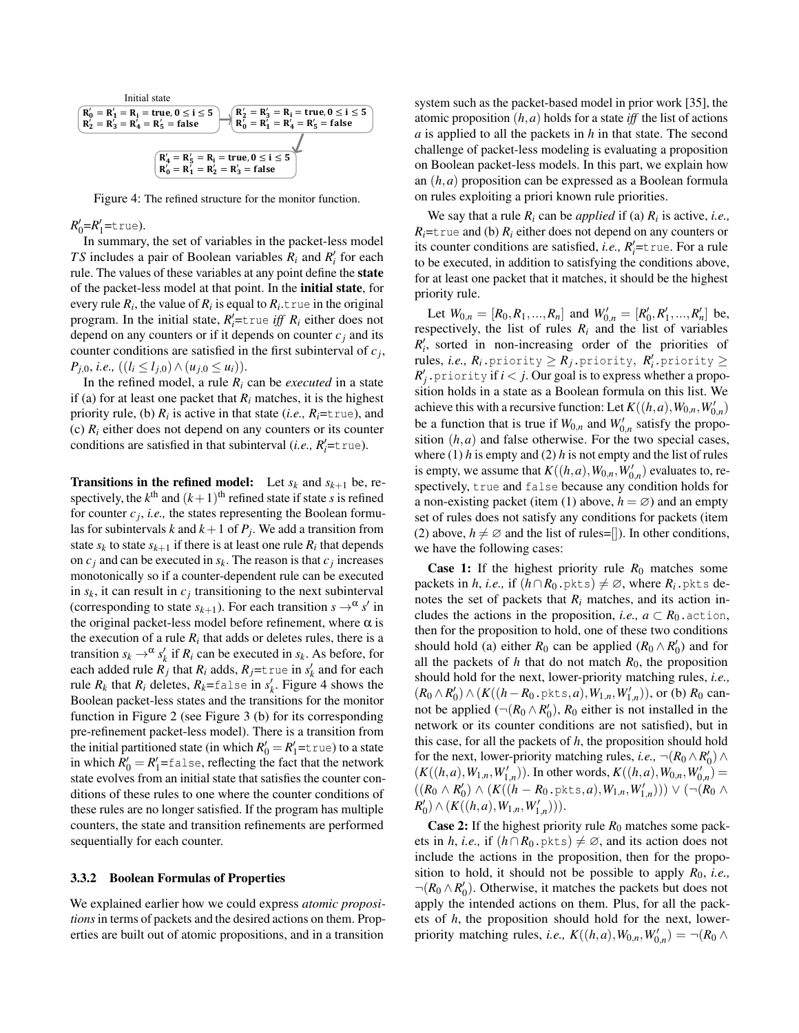

Figure 4: The refined structure for the monitor function.

# *R*<sup> $\prime$ </sup><sub>1</sub>=true).

In summary, the set of variables in the packet-less model *TS* includes a pair of Boolean variables  $R_i$  and  $R'_i$  for each rule. The values of these variables at any point define the state of the packet-less model at that point. In the initial state, for every rule  $R_i$ , the value of  $R_i$  is equal to  $R_i$ , true in the original program. In the initial state,  $R'_i$  =true *iff*  $R_i$  either does not depend on any counters or if it depends on counter  $c_j$  and its counter conditions are satisfied in the first subinterval of *cj*,  $P_{i,0}$ *, i.e.,*  $((l_i \leq l_{i,0}) \wedge (u_{i,0} \leq u_i)).$ 

In the refined model, a rule  $R_i$  can be *executed* in a state if (a) for at least one packet that  $R_i$  matches, it is the highest priority rule, (b)  $R_i$  is active in that state (*i.e.*,  $R_i$ =t rue), and (c)  $R_i$  either does not depend on any counters or its counter conditions are satisfied in that subinterval (*i.e.*,  $R'_i$ =true).

**Transitions in the refined model:** Let  $s_k$  and  $s_{k+1}$  be, respectively, the  $k^{\text{th}}$  and  $(k+1)^{\text{th}}$  refined state if state *s* is refined for counter  $c_j$ , *i.e.*, the states representing the Boolean formulas for subintervals *k* and  $k+1$  of  $P_j$ . We add a transition from state  $s_k$  to state  $s_{k+1}$  if there is at least one rule  $R_i$  that depends on  $c_j$  and can be executed in  $s_k$ . The reason is that  $c_j$  increases monotonically so if a counter-dependent rule can be executed in  $s_k$ , it can result in  $c_j$  transitioning to the next subinterval (corresponding to state  $s_{k+1}$ ). For each transition  $s \rightarrow \alpha s'$  in the original packet-less model before refinement, where  $\alpha$  is the execution of a rule  $R_i$  that adds or deletes rules, there is a transition  $s_k \rightarrow \alpha s'_k$  if  $R_i$  can be executed in  $s_k$ . As before, for each added rule  $R_j$  that  $R_i$  adds,  $R_j$ =t rue in  $s'_k$  and for each rule  $R_k$  that  $R_i$  deletes,  $R_k$ =false in  $s'_k$ . Figure 4 shows the Boolean packet-less states and the transitions for the monitor function in Figure 2 (see Figure 3 (b) for its corresponding pre-refinement packet-less model). There is a transition from the initial partitioned state (in which  $R'_0 = R'_1 =$ true) to a state in which  $R'_0 = R'_1 = \text{false}$ , reflecting the fact that the network state evolves from an initial state that satisfies the counter conditions of these rules to one where the counter conditions of these rules are no longer satisfied. If the program has multiple counters, the state and transition refinements are performed sequentially for each counter.

#### 3.3.2 Boolean Formulas of Properties

We explained earlier how we could express *atomic propositions* in terms of packets and the desired actions on them. Properties are built out of atomic propositions, and in a transition

system such as the packet-based model in prior work [35], the atomic proposition  $(h, a)$  holds for a state *iff* the list of actions *a* is applied to all the packets in *h* in that state. The second challenge of packet-less modeling is evaluating a proposition on Boolean packet-less models. In this part, we explain how an (*h,a*) proposition can be expressed as a Boolean formula on rules exploiting a priori known rule priorities.

We say that a rule *Ri* can be *applied* if (a) *Ri* is active, *i.e.,*  $R_i$ =true and (b)  $R_i$  either does not depend on any counters or its counter conditions are satisfied, *i.e.*,  $R'_i$ =true. For a rule to be executed, in addition to satisfying the conditions above, for at least one packet that it matches, it should be the highest priority rule.

Let  $W_{0,n} = [R_0, R_1, ..., R_n]$  and  $W'_{0,n} = [R'_0, R'_1, ..., R'_n]$  be, respectively, the list of rules  $R_i$  and the list of variables  $R'_{i}$ , sorted in non-increasing order of the priorities of  $rule, i.e., R_i$ .priority  $\geq R_j$ .priority,  $R'_i$ .priority  $\geq$  $R'_j$  . priority if  $i < j$ . Our goal is to express whether a proposition holds in a state as a Boolean formula on this list. We achieve this with a recursive function: Let  $K((h, a), W_{0,n}, W'_{0,n})$ be a function that is true if  $W_{0,n}$  and  $W'_{0,n}$  satisfy the proposition  $(h, a)$  and false otherwise. For the two special cases, where  $(1)$  *h* is empty and  $(2)$  *h* is not empty and the list of rules is empty, we assume that  $K((h, a), W_{0,n}, W'_{0,n})$  evaluates to, respectively, true and false because any condition holds for a non-existing packet (item (1) above,  $h = \emptyset$ ) and an empty set of rules does not satisfy any conditions for packets (item (2) above,  $h \neq \emptyset$  and the list of rules=[]). In other conditions, we have the following cases:

**Case 1:** If the highest priority rule  $R_0$  matches some packets in *h*, *i.e.*, if  $(h \cap R_0.$  pkts)  $\neq \emptyset$ , where  $R_i.$  pkts denotes the set of packets that  $R_i$  matches, and its action includes the actions in the proposition, *i.e.*,  $a \subset R_0$ . action, then for the proposition to hold, one of these two conditions should hold (a) either  $R_0$  can be applied  $(R_0 \wedge R'_0)$  and for all the packets of  $h$  that do not match  $R_0$ , the proposition should hold for the next, lower-priority matching rules, *i.e.,*  $(R_0 \wedge R'_0) \wedge (K((h-R_0. \text{pkts}, a), W_{1,n}, W'_{1,n})),$  or (b)  $R_0$  cannot be applied  $(\neg (R_0 \land R'_0), R_0$  either is not installed in the network or its counter conditions are not satisfied), but in this case, for all the packets of *h*, the proposition should hold for the next, lower-priority matching rules, *i.e.*,  $\neg (R_0 \land R_0') \land$  $(K((h,a), W_{1,n}, W'_{1,n}))$ . In other words,  $K((h,a), W_{0,n}, W'_{0,n}) =$  $((R_0 \wedge R'_0) \wedge (K((h - R_0. \text{pkts}, a), W_{1,n}, W'_{1,n}))) \vee (\neg(R_0 \wedge$  $R'_{0}$ )  $\wedge$   $(K((h,a),W_{1,n},W'_{1,n}))).$ 

**Case 2:** If the highest priority rule  $R_0$  matches some packets in *h*, *i.e.*, if  $(h \cap R_0, \text{pkts}) \neq \emptyset$ , and its action does not include the actions in the proposition, then for the proposition to hold, it should not be possible to apply *R*0, *i.e.,*  $\neg(R_0 \land R_0')$ . Otherwise, it matches the packets but does not apply the intended actions on them. Plus, for all the packets of *h*, the proposition should hold for the next, lowerpriority matching rules, *i.e.*,  $K((h, a), W_{0,n}, W'_{0,n}) = \neg(R_0 \land R_0)$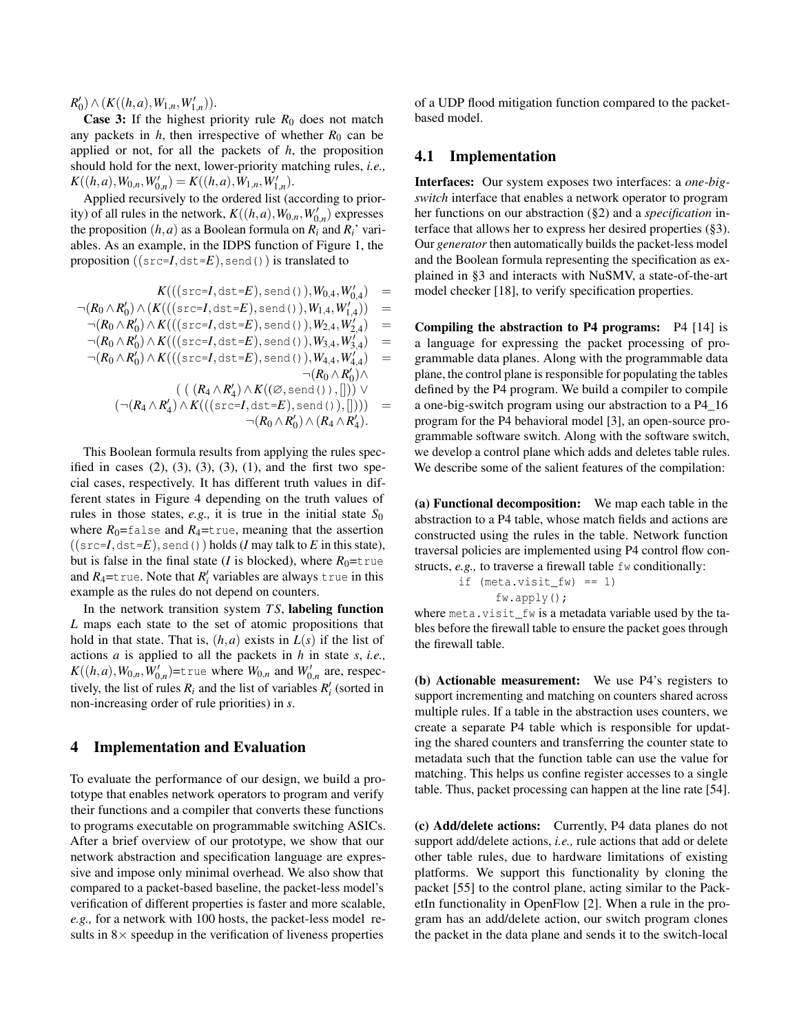$R'_{0}$ )  $\wedge$   $(K((h,a),W_{1,n},W'_{1,n})).$ 

**Case 3:** If the highest priority rule  $R_0$  does not match any packets in  $h$ , then irrespective of whether  $R_0$  can be applied or not, for all the packets of *h*, the proposition should hold for the next, lower-priority matching rules, *i.e.,*  $K((h, a), W_{0,n}, W'_{0,n}) = K((h, a), W_{1,n}, W'_{1,n}).$ 

Applied recursively to the ordered list (according to priority) of all rules in the network,  $K((h,a),W_{0,n},W'_{0,n})$  expresses the proposition  $(h, a)$  as a Boolean formula on  $R_i$  and  $R_i$ ' variables. As an example, in the IDPS function of Figure 1, the proposition  $((src=I,dst=E),send() )$  is translated to

$$
K(((\text{src} = I, \text{dst} = E), \text{send}(), W_{0,4}, W'_{0,4}) =
$$
  
\n
$$
\neg(R_0 \land R'_0) \land (K(((\text{src} = I, \text{dst} = E), \text{send}(), W_{1,4}, W'_{1,4})) =
$$
  
\n
$$
\neg(R_0 \land R'_0) \land K(((\text{src} = I, \text{dst} = E), \text{send}(), W_{2,4}, W'_{2,4}) =
$$
  
\n
$$
\neg(R_0 \land R'_0) \land K(((\text{src} = I, \text{dst} = E), \text{send}(), W_{3,4}, W'_{3,4}) =
$$
  
\n
$$
\neg(R_0 \land R'_0) \land K(((\text{src} = I, \text{dst} = E), \text{send}(), W_{4,4}, W'_{4,4}) =
$$
  
\n
$$
\neg(R_0 \land R'_0) \land
$$
  
\n
$$
((R_4 \land R'_4) \land K((\text{src} = I, \text{dst} = E), \text{send}(),[])) \lor
$$
  
\n
$$
(\neg(R_4 \land R'_4) \land K(((\text{src} = I, \text{dst} = E), \text{send}(),[]))) =
$$
  
\n
$$
\neg(R_0 \land R'_0) \land (R_4 \land R'_4).
$$

This Boolean formula results from applying the rules specified in cases  $(2)$ ,  $(3)$ ,  $(3)$ ,  $(3)$ ,  $(1)$ , and the first two special cases, respectively. It has different truth values in different states in Figure 4 depending on the truth values of rules in those states,  $e.g.,$  it is true in the initial state  $S_0$ where  $R_0$ =false and  $R_4$ =true, meaning that the assertion  $((src=I,dst=E),send()$ ) holds (*I* may talk to *E* in this state), but is false in the final state (*I* is blocked), where  $R_0$ =true and  $R_4$ =true. Note that  $R'_i$  variables are always true in this example as the rules do not depend on counters.

In the network transition system *T S*, labeling function *L* maps each state to the set of atomic propositions that hold in that state. That is,  $(h, a)$  exists in  $L(s)$  if the list of actions *a* is applied to all the packets in *h* in state *s*, *i.e.,*  $K((h, a), W_{0,n}, W'_{0,n})$ =true where  $W_{0,n}$  and  $W'_{0,n}$  are, respectively, the list of rules  $R_i$  and the list of variables  $R'_i$  (sorted in non-increasing order of rule priorities) in *s*.

### 4 Implementation and Evaluation

To evaluate the performance of our design, we build a prototype that enables network operators to program and verify their functions and a compiler that converts these functions to programs executable on programmable switching ASICs. After a brief overview of our prototype, we show that our network abstraction and specification language are expressive and impose only minimal overhead. We also show that compared to a packet-based baseline, the packet-less model's verification of different properties is faster and more scalable, *e.g.,* for a network with 100 hosts, the packet-less model results in  $8 \times$  speedup in the verification of liveness properties

of a UDP flood mitigation function compared to the packetbased model.

### 4.1 Implementation

Interfaces: Our system exposes two interfaces: a *one-bigswitch* interface that enables a network operator to program her functions on our abstraction (§2) and a *specification* interface that allows her to express her desired properties (§3). Our *generator* then automatically builds the packet-less model and the Boolean formula representing the specification as explained in §3 and interacts with NuSMV, a state-of-the-art model checker [18], to verify specification properties.

Compiling the abstraction to P4 programs: P4 [14] is a language for expressing the packet processing of programmable data planes. Along with the programmable data plane, the control plane is responsible for populating the tables defined by the P4 program. We build a compiler to compile a one-big-switch program using our abstraction to a P4\_16 program for the P4 behavioral model [3], an open-source programmable software switch. Along with the software switch, we develop a control plane which adds and deletes table rules. We describe some of the salient features of the compilation:

(a) Functional decomposition: We map each table in the abstraction to a P4 table, whose match fields and actions are constructed using the rules in the table. Network function traversal policies are implemented using P4 control flow constructs, *e.g.*, to traverse a firewall table fw conditionally:

$$
\begin{array}{ll}\n\text{if } (\text{meta}.\text{visit\_fw}) == 1) \\
& \text{fw}.\text{apply}();\n\end{array}
$$

where meta.visit fw is a metadata variable used by the tables before the firewall table to ensure the packet goes through the firewall table.

(b) Actionable measurement: We use P4's registers to support incrementing and matching on counters shared across multiple rules. If a table in the abstraction uses counters, we create a separate P4 table which is responsible for updating the shared counters and transferring the counter state to metadata such that the function table can use the value for matching. This helps us confine register accesses to a single table. Thus, packet processing can happen at the line rate [54].

(c) Add/delete actions: Currently, P4 data planes do not support add/delete actions, *i.e.,* rule actions that add or delete other table rules, due to hardware limitations of existing platforms. We support this functionality by cloning the packet [55] to the control plane, acting similar to the PacketIn functionality in OpenFlow [2]. When a rule in the program has an add/delete action, our switch program clones the packet in the data plane and sends it to the switch-local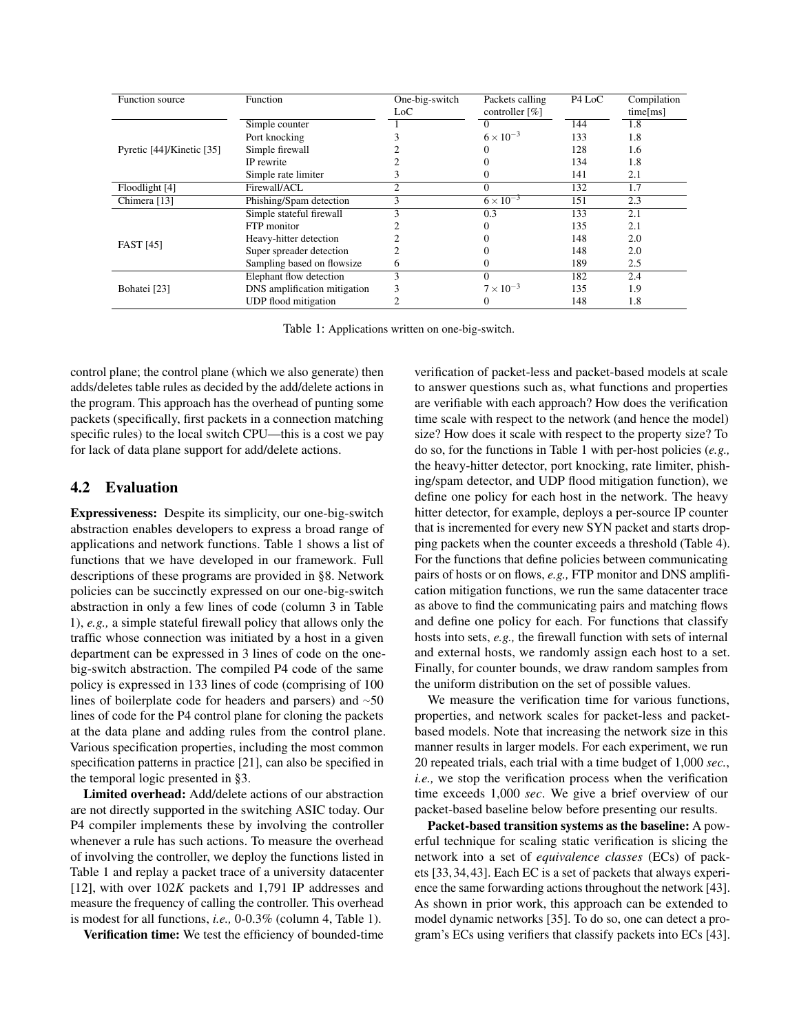| Function source           | Function                     | One-big-switch<br>Loc | Packets calling<br>controller [%] | P <sub>4</sub> L <sub>o</sub> C | Compilation<br>time[ms] |
|---------------------------|------------------------------|-----------------------|-----------------------------------|---------------------------------|-------------------------|
|                           | Simple counter               |                       |                                   | 144                             | 1.8                     |
|                           | Port knocking                |                       | $6 \times 10^{-3}$                | 133                             | 1.8                     |
| Pyretic [44]/Kinetic [35] | Simple firewall              |                       |                                   | 128                             | 1.6                     |
|                           | IP rewrite                   |                       |                                   | 134                             | 1.8                     |
|                           | Simple rate limiter          |                       |                                   | 141                             | 2.1                     |
| Floodlight [4]            | Firewall/ACL                 | $\mathfrak{D}$        | $\Omega$                          | 132                             | 1.7                     |
| Chimera [13]              | Phishing/Spam detection      | 3                     | $6 \times 10^{-3}$                | 151                             | 2.3                     |
|                           | Simple stateful firewall     |                       | 0.3                               | 133                             | 2.1                     |
|                           | FTP monitor                  |                       |                                   | 135                             | 2.1                     |
| <b>FAST</b> [45]          | Heavy-hitter detection       |                       |                                   | 148                             | 2.0                     |
|                           | Super spreader detection     |                       |                                   | 148                             | 2.0                     |
|                           | Sampling based on flowsize   | O                     |                                   | 189                             | 2.5                     |
|                           | Elephant flow detection      |                       |                                   | 182                             | 2.4                     |
| Bohatei [23]              | DNS amplification mitigation | 3                     | $7 \times 10^{-3}$                | 135                             | 1.9                     |
|                           | UDP flood mitigation         |                       |                                   | 148                             | 1.8                     |

Table 1: Applications written on one-big-switch.

control plane; the control plane (which we also generate) then adds/deletes table rules as decided by the add/delete actions in the program. This approach has the overhead of punting some packets (specifically, first packets in a connection matching specific rules) to the local switch CPU—this is a cost we pay for lack of data plane support for add/delete actions.

### 4.2 Evaluation

Expressiveness: Despite its simplicity, our one-big-switch abstraction enables developers to express a broad range of applications and network functions. Table 1 shows a list of functions that we have developed in our framework. Full descriptions of these programs are provided in §8. Network policies can be succinctly expressed on our one-big-switch abstraction in only a few lines of code (column 3 in Table 1), *e.g.,* a simple stateful firewall policy that allows only the traffic whose connection was initiated by a host in a given department can be expressed in 3 lines of code on the onebig-switch abstraction. The compiled P4 code of the same policy is expressed in 133 lines of code (comprising of 100 lines of boilerplate code for headers and parsers) and  $~50$ lines of code for the P4 control plane for cloning the packets at the data plane and adding rules from the control plane. Various specification properties, including the most common specification patterns in practice [21], can also be specified in the temporal logic presented in §3.

Limited overhead: Add/delete actions of our abstraction are not directly supported in the switching ASIC today. Our P4 compiler implements these by involving the controller whenever a rule has such actions. To measure the overhead of involving the controller, we deploy the functions listed in Table 1 and replay a packet trace of a university datacenter [12], with over 102*K* packets and 1,791 IP addresses and measure the frequency of calling the controller. This overhead is modest for all functions, *i.e.,* 0-0.3% (column 4, Table 1).

Verification time: We test the efficiency of bounded-time

verification of packet-less and packet-based models at scale to answer questions such as, what functions and properties are verifiable with each approach? How does the verification time scale with respect to the network (and hence the model) size? How does it scale with respect to the property size? To do so, for the functions in Table 1 with per-host policies (*e.g.,* the heavy-hitter detector, port knocking, rate limiter, phishing/spam detector, and UDP flood mitigation function), we define one policy for each host in the network. The heavy hitter detector, for example, deploys a per-source IP counter that is incremented for every new SYN packet and starts dropping packets when the counter exceeds a threshold (Table 4). For the functions that define policies between communicating pairs of hosts or on flows, *e.g.,* FTP monitor and DNS amplification mitigation functions, we run the same datacenter trace as above to find the communicating pairs and matching flows and define one policy for each. For functions that classify hosts into sets, *e.g.,* the firewall function with sets of internal and external hosts, we randomly assign each host to a set. Finally, for counter bounds, we draw random samples from the uniform distribution on the set of possible values.

We measure the verification time for various functions, properties, and network scales for packet-less and packetbased models. Note that increasing the network size in this manner results in larger models. For each experiment, we run 20 repeated trials, each trial with a time budget of 1,000 *sec.*, *i.e.,* we stop the verification process when the verification time exceeds 1,000 *sec*. We give a brief overview of our packet-based baseline below before presenting our results.

Packet-based transition systems as the baseline: A powerful technique for scaling static verification is slicing the network into a set of *equivalence classes* (ECs) of packets [33, 34, 43]. Each EC is a set of packets that always experience the same forwarding actions throughout the network [43]. As shown in prior work, this approach can be extended to model dynamic networks [35]. To do so, one can detect a program's ECs using verifiers that classify packets into ECs [43].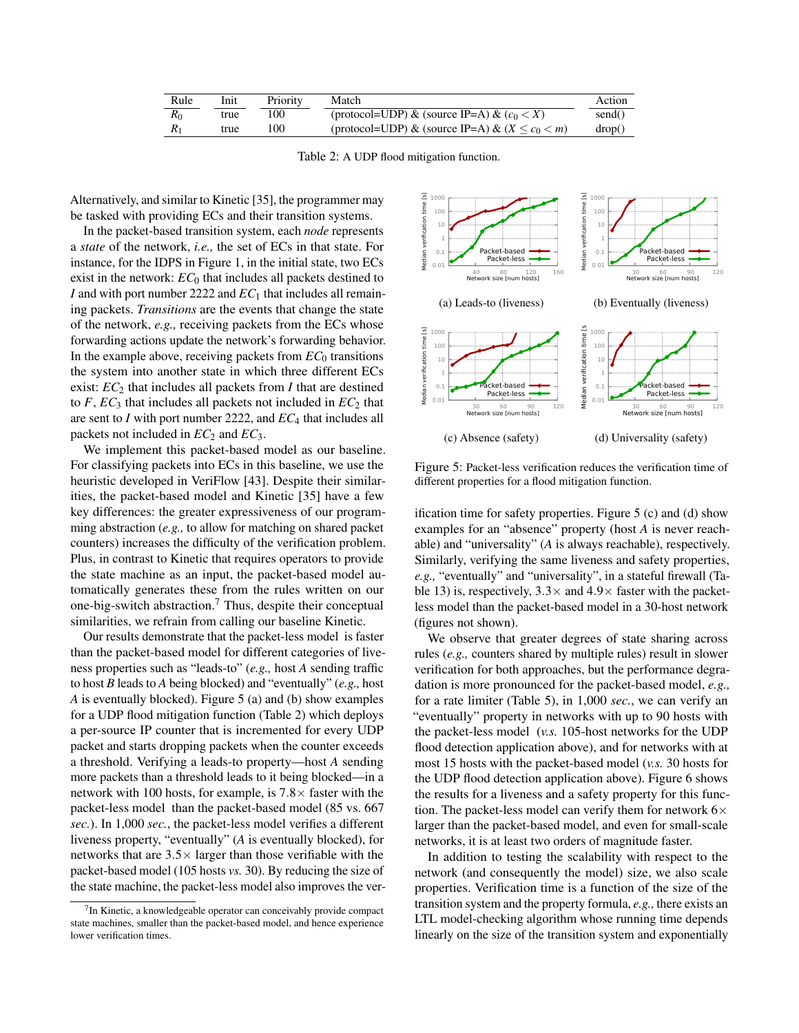| Rule  | Init | Priority | Match                                                  | Action |
|-------|------|----------|--------------------------------------------------------|--------|
| $R_0$ | true | 100      | (protocol=UDP) & (source IP=A) & $(c_0 < X)$           | send() |
|       | true | 100      | (protocol=UDP) & (source IP=A) & $(X \leq c_0 \leq m)$ | drop() |

Table 2: A UDP flood mitigation function.

Alternatively, and similar to Kinetic [35], the programmer may be tasked with providing ECs and their transition systems.

In the packet-based transition system, each *node* represents a *state* of the network, *i.e.,* the set of ECs in that state. For instance, for the IDPS in Figure 1, in the initial state, two ECs exist in the network:  $EC_0$  that includes all packets destined to *I* and with port number 2222 and  $EC_1$  that includes all remaining packets. *Transitions* are the events that change the state of the network, *e.g.,* receiving packets from the ECs whose forwarding actions update the network's forwarding behavior. In the example above, receiving packets from  $EC_0$  transitions the system into another state in which three different ECs exist:  $EC_2$  that includes all packets from  $I$  that are destined to  $F$ ,  $EC_3$  that includes all packets not included in  $EC_2$  that are sent to *I* with port number 2222, and *EC*<sup>4</sup> that includes all packets not included in  $EC_2$  and  $EC_3$ .

We implement this packet-based model as our baseline. For classifying packets into ECs in this baseline, we use the heuristic developed in VeriFlow [43]. Despite their similarities, the packet-based model and Kinetic [35] have a few key differences: the greater expressiveness of our programming abstraction (*e.g.,* to allow for matching on shared packet counters) increases the difficulty of the verification problem. Plus, in contrast to Kinetic that requires operators to provide the state machine as an input, the packet-based model automatically generates these from the rules written on our one-big-switch abstraction.<sup>7</sup> Thus, despite their conceptual similarities, we refrain from calling our baseline Kinetic.

Our results demonstrate that the packet-less model is faster than the packet-based model for different categories of liveness properties such as "leads-to" (*e.g.,* host *A* sending traffic to host *B* leads to *A* being blocked) and "eventually" (*e.g.,* host *A* is eventually blocked). Figure 5 (a) and (b) show examples for a UDP flood mitigation function (Table 2) which deploys a per-source IP counter that is incremented for every UDP packet and starts dropping packets when the counter exceeds a threshold. Verifying a leads-to property—host *A* sending more packets than a threshold leads to it being blocked—in a network with 100 hosts, for example, is 7.8 $\times$  faster with the packet-less model than the packet-based model (85 vs. 667 *sec.*). In 1,000 *sec.*, the packet-less model verifies a different liveness property, "eventually" (*A* is eventually blocked), for networks that are  $3.5 \times$  larger than those verifiable with the packet-based model (105 hosts *vs.* 30). By reducing the size of the state machine, the packet-less model also improves the ver-



Figure 5: Packet-less verification reduces the verification time of different properties for a flood mitigation function.

ification time for safety properties. Figure 5 (c) and (d) show examples for an "absence" property (host *A* is never reachable) and "universality" (*A* is always reachable), respectively. Similarly, verifying the same liveness and safety properties, *e.g.,* "eventually" and "universality", in a stateful firewall (Table 13) is, respectively,  $3.3 \times$  and  $4.9 \times$  faster with the packetless model than the packet-based model in a 30-host network (figures not shown).

We observe that greater degrees of state sharing across rules (*e.g.,* counters shared by multiple rules) result in slower verification for both approaches, but the performance degradation is more pronounced for the packet-based model, *e.g.,* for a rate limiter (Table 5), in 1,000 *sec.*, we can verify an "eventually" property in networks with up to 90 hosts with the packet-less model (*v.s.* 105-host networks for the UDP flood detection application above), and for networks with at most 15 hosts with the packet-based model (*v.s.* 30 hosts for the UDP flood detection application above). Figure 6 shows the results for a liveness and a safety property for this function. The packet-less model can verify them for network  $6 \times$ larger than the packet-based model, and even for small-scale networks, it is at least two orders of magnitude faster.

In addition to testing the scalability with respect to the network (and consequently the model) size, we also scale properties. Verification time is a function of the size of the transition system and the property formula, *e.g.,* there exists an LTL model-checking algorithm whose running time depends linearly on the size of the transition system and exponentially

 $7$ In Kinetic, a knowledgeable operator can conceivably provide compact state machines, smaller than the packet-based model, and hence experience lower verification times.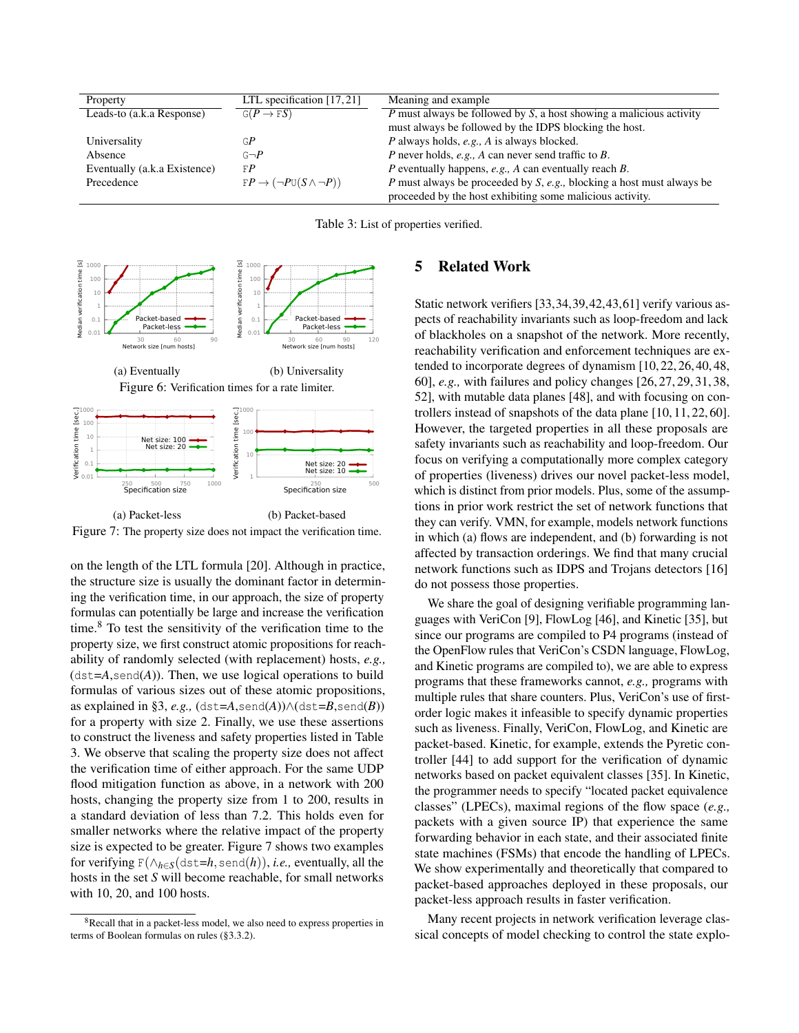| Property                     | LTL specification $[17, 21]$                    | Meaning and example                                                    |
|------------------------------|-------------------------------------------------|------------------------------------------------------------------------|
| Leads-to (a.k.a Response)    | $G(P \to FS)$                                   | P must always be followed by $S$ , a host showing a malicious activity |
|                              |                                                 | must always be followed by the IDPS blocking the host.                 |
| Universality                 | GP                                              | P always holds, e.g., A is always blocked.                             |
| Absence                      | $G \rightarrow P$                               | P never holds, e.g., A can never send traffic to B.                    |
| Eventually (a.k.a Existence) | FP                                              | P eventually happens, $e.g., A can eventually reach B.$                |
| Precedence                   | $FP \rightarrow (\neg P \cup (S \land \neg P))$ | P must always be proceeded by S, e.g., blocking a host must always be  |
|                              |                                                 | proceeded by the host exhibiting some malicious activity.              |

Table 3: List of properties verified.



(a) Packet-less (b) Packet-based Figure 7: The property size does not impact the verification time.

on the length of the LTL formula [20]. Although in practice, the structure size is usually the dominant factor in determining the verification time, in our approach, the size of property formulas can potentially be large and increase the verification time.8 To test the sensitivity of the verification time to the property size, we first construct atomic propositions for reachability of randomly selected (with replacement) hosts, *e.g.,*  $(\text{dst} = A, \text{send}(A))$ . Then, we use logical operations to build formulas of various sizes out of these atomic propositions, as explained in §3, *e.g.*,  $(\text{dst}=\text{A}, \text{send}(\text{A})) \wedge (\text{dst}=\text{B}, \text{send}(\text{B}))$ for a property with size 2. Finally, we use these assertions to construct the liveness and safety properties listed in Table 3. We observe that scaling the property size does not affect the verification time of either approach. For the same UDP flood mitigation function as above, in a network with 200 hosts, changing the property size from 1 to 200, results in a standard deviation of less than 7.2. This holds even for smaller networks where the relative impact of the property size is expected to be greater. Figure 7 shows two examples for verifying  $F(\Lambda_{h\in S}(\text{dst}=h,\text{send}(h)), i.e.,$  eventually, all the hosts in the set *S* will become reachable, for small networks with 10, 20, and 100 hosts.

# 5 Related Work

Static network verifiers [33,34,39,42,43,61] verify various aspects of reachability invariants such as loop-freedom and lack of blackholes on a snapshot of the network. More recently, reachability verification and enforcement techniques are extended to incorporate degrees of dynamism [10, 22, 26, 40, 48, 60], *e.g.,* with failures and policy changes [26, 27, 29, 31, 38, 52], with mutable data planes [48], and with focusing on controllers instead of snapshots of the data plane [10, 11, 22, 60]. However, the targeted properties in all these proposals are safety invariants such as reachability and loop-freedom. Our focus on verifying a computationally more complex category of properties (liveness) drives our novel packet-less model, which is distinct from prior models. Plus, some of the assumptions in prior work restrict the set of network functions that they can verify. VMN, for example, models network functions in which (a) flows are independent, and (b) forwarding is not affected by transaction orderings. We find that many crucial network functions such as IDPS and Trojans detectors [16] do not possess those properties.

We share the goal of designing verifiable programming languages with VeriCon [9], FlowLog [46], and Kinetic [35], but since our programs are compiled to P4 programs (instead of the OpenFlow rules that VeriCon's CSDN language, FlowLog, and Kinetic programs are compiled to), we are able to express programs that these frameworks cannot, *e.g.,* programs with multiple rules that share counters. Plus, VeriCon's use of firstorder logic makes it infeasible to specify dynamic properties such as liveness. Finally, VeriCon, FlowLog, and Kinetic are packet-based. Kinetic, for example, extends the Pyretic controller [44] to add support for the verification of dynamic networks based on packet equivalent classes [35]. In Kinetic, the programmer needs to specify "located packet equivalence classes" (LPECs), maximal regions of the flow space (*e.g.,* packets with a given source IP) that experience the same forwarding behavior in each state, and their associated finite state machines (FSMs) that encode the handling of LPECs. We show experimentally and theoretically that compared to packet-based approaches deployed in these proposals, our packet-less approach results in faster verification.

Many recent projects in network verification leverage classical concepts of model checking to control the state explo-

<sup>8</sup>Recall that in a packet-less model, we also need to express properties in terms of Boolean formulas on rules (§3.3.2).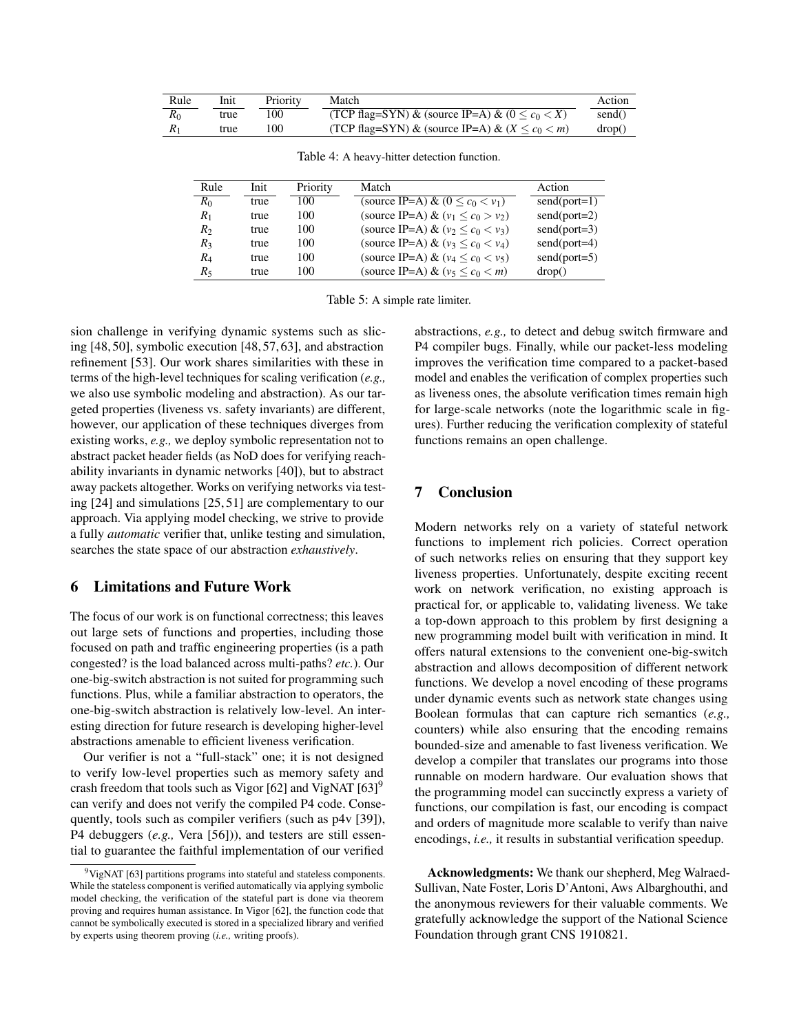| Rule  | Init | Priority | Match                                                    | Action |
|-------|------|----------|----------------------------------------------------------|--------|
| $R_0$ | true | 100      | (TCP flag=SYN) & (source IP=A) & ( $0 \leq c_0 \leq X$ ) | send() |
|       | true | 100      | (TCP flag=SYN) & (source IP=A) & ( $X \leq c_0 \leq m$ ) | drop() |

Table 4: A heavy-hitter detection function.

| Rule           | Init. | Priority | Match                                  | Action         |
|----------------|-------|----------|----------------------------------------|----------------|
| $R_0$          | true  | 100      | (source IP=A) & $(0 \leq c_0 < v_1)$   | $send(port=1)$ |
| $R_1$          | true  | 100      | (source IP=A) & $(v_1 \leq c_0 > v_2)$ | $send(port=2)$ |
| R <sub>2</sub> | true  | 100      | (source IP=A) & $(v_2 < c_0 < v_3)$    | $send(port=3)$ |
| $R_3$          | true  | 100      | (source IP=A) & $(v_3 < c_0 < v_4)$    | $send(port=4)$ |
| $R_4$          | true  | 100      | (source IP=A) & ( $v_4 < c_0 < v_5$ )  | $send(port=5)$ |
| R5             | true  | 100      | (source IP=A) & $(v_5 < c_0 < m)$      | drop()         |

Table 5: A simple rate limiter.

sion challenge in verifying dynamic systems such as slicing [48, 50], symbolic execution [48, 57, 63], and abstraction refinement [53]. Our work shares similarities with these in terms of the high-level techniques for scaling verification (*e.g.,* we also use symbolic modeling and abstraction). As our targeted properties (liveness vs. safety invariants) are different, however, our application of these techniques diverges from existing works, *e.g.,* we deploy symbolic representation not to abstract packet header fields (as NoD does for verifying reachability invariants in dynamic networks [40]), but to abstract away packets altogether. Works on verifying networks via testing [24] and simulations [25, 51] are complementary to our approach. Via applying model checking, we strive to provide a fully *automatic* verifier that, unlike testing and simulation, searches the state space of our abstraction *exhaustively*.

# 6 Limitations and Future Work

The focus of our work is on functional correctness; this leaves out large sets of functions and properties, including those focused on path and traffic engineering properties (is a path congested? is the load balanced across multi-paths? *etc.*). Our one-big-switch abstraction is not suited for programming such functions. Plus, while a familiar abstraction to operators, the one-big-switch abstraction is relatively low-level. An interesting direction for future research is developing higher-level abstractions amenable to efficient liveness verification.

Our verifier is not a "full-stack" one; it is not designed to verify low-level properties such as memory safety and crash freedom that tools such as Vigor [62] and VigNAT  $[63]$ <sup>9</sup> can verify and does not verify the compiled P4 code. Consequently, tools such as compiler verifiers (such as p4v [39]), P4 debuggers (*e.g.,* Vera [56])), and testers are still essential to guarantee the faithful implementation of our verified

abstractions, *e.g.,* to detect and debug switch firmware and P4 compiler bugs. Finally, while our packet-less modeling improves the verification time compared to a packet-based model and enables the verification of complex properties such as liveness ones, the absolute verification times remain high for large-scale networks (note the logarithmic scale in figures). Further reducing the verification complexity of stateful functions remains an open challenge.

### 7 Conclusion

Modern networks rely on a variety of stateful network functions to implement rich policies. Correct operation of such networks relies on ensuring that they support key liveness properties. Unfortunately, despite exciting recent work on network verification, no existing approach is practical for, or applicable to, validating liveness. We take a top-down approach to this problem by first designing a new programming model built with verification in mind. It offers natural extensions to the convenient one-big-switch abstraction and allows decomposition of different network functions. We develop a novel encoding of these programs under dynamic events such as network state changes using Boolean formulas that can capture rich semantics (*e.g.,* counters) while also ensuring that the encoding remains bounded-size and amenable to fast liveness verification. We develop a compiler that translates our programs into those runnable on modern hardware. Our evaluation shows that the programming model can succinctly express a variety of functions, our compilation is fast, our encoding is compact and orders of magnitude more scalable to verify than naive encodings, *i.e.,* it results in substantial verification speedup.

Acknowledgments: We thank our shepherd, Meg Walraed-Sullivan, Nate Foster, Loris D'Antoni, Aws Albarghouthi, and the anonymous reviewers for their valuable comments. We gratefully acknowledge the support of the National Science Foundation through grant CNS 1910821.

 $9$ VigNAT [63] partitions programs into stateful and stateless components. While the stateless component is verified automatically via applying symbolic model checking, the verification of the stateful part is done via theorem proving and requires human assistance. In Vigor [62], the function code that cannot be symbolically executed is stored in a specialized library and verified by experts using theorem proving (*i.e.,* writing proofs).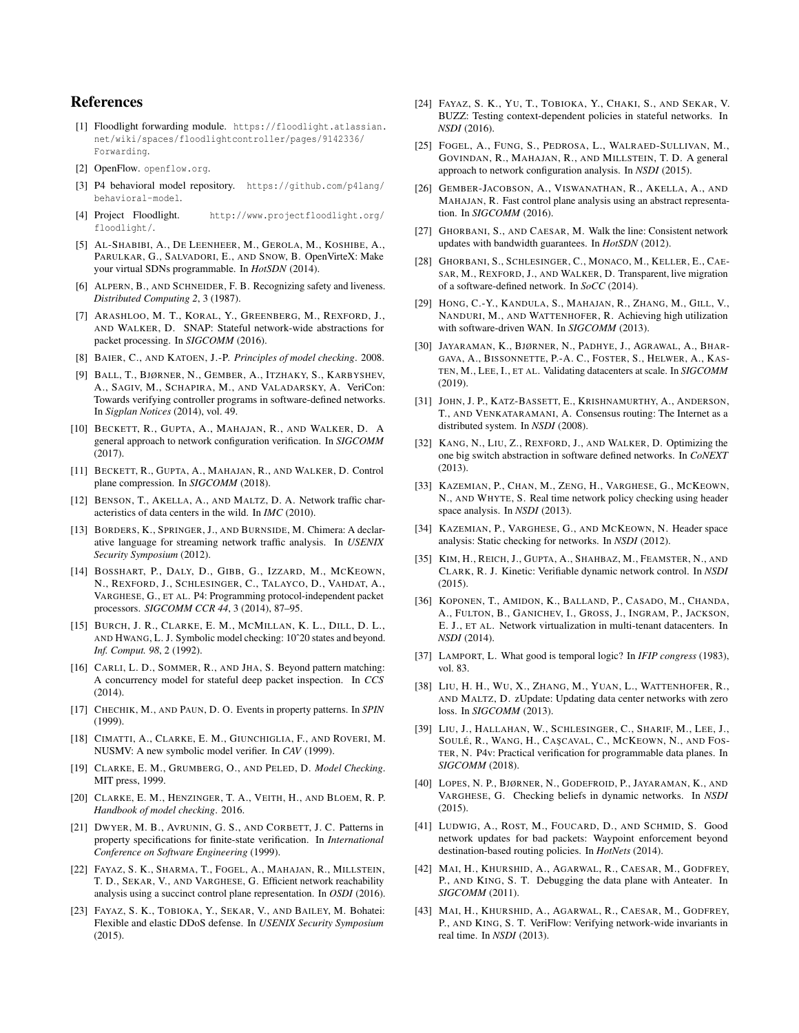# References

- [1] Floodlight forwarding module. https://floodlight.atlassian. net/wiki/spaces/floodlightcontroller/pages/9142336/ Forwarding.
- [2] OpenFlow. openflow.org.
- [3] P4 behavioral model repository. https://github.com/p4lang/ behavioral-model.
- [4] Project Floodlight. http://www.projectfloodlight.org/ floodlight/.
- [5] AL-SHABIBI, A., DE LEENHEER, M., GEROLA, M., KOSHIBE, A., PARULKAR, G., SALVADORI, E., AND SNOW, B. OpenVirteX: Make your virtual SDNs programmable. In *HotSDN* (2014).
- [6] ALPERN, B., AND SCHNEIDER, F. B. Recognizing safety and liveness. *Distributed Computing 2*, 3 (1987).
- [7] ARASHLOO, M. T., KORAL, Y., GREENBERG, M., REXFORD, J., AND WALKER, D. SNAP: Stateful network-wide abstractions for packet processing. In *SIGCOMM* (2016).
- [8] BAIER, C., AND KATOEN, J.-P. *Principles of model checking*. 2008.
- [9] BALL, T., BJØRNER, N., GEMBER, A., ITZHAKY, S., KARBYSHEV, A., SAGIV, M., SCHAPIRA, M., AND VALADARSKY, A. VeriCon: Towards verifying controller programs in software-defined networks. In *Sigplan Notices* (2014), vol. 49.
- [10] BECKETT, R., GUPTA, A., MAHAJAN, R., AND WALKER, D. A general approach to network configuration verification. In *SIGCOMM* (2017).
- [11] BECKETT, R., GUPTA, A., MAHAJAN, R., AND WALKER, D. Control plane compression. In *SIGCOMM* (2018).
- [12] BENSON, T., AKELLA, A., AND MALTZ, D. A. Network traffic characteristics of data centers in the wild. In *IMC* (2010).
- [13] BORDERS, K., SPRINGER, J., AND BURNSIDE, M. Chimera: A declarative language for streaming network traffic analysis. In *USENIX Security Symposium* (2012).
- [14] BOSSHART, P., DALY, D., GIBB, G., IZZARD, M., MCKEOWN, N., REXFORD, J., SCHLESINGER, C., TALAYCO, D., VAHDAT, A., VARGHESE, G., ET AL. P4: Programming protocol-independent packet processors. *SIGCOMM CCR 44*, 3 (2014), 87–95.
- [15] BURCH, J. R., CLARKE, E. M., MCMILLAN, K. L., DILL, D. L., AND HWANG, L. J. Symbolic model checking: 10ˆ20 states and beyond. *Inf. Comput. 98*, 2 (1992).
- [16] CARLI, L. D., SOMMER, R., AND JHA, S. Beyond pattern matching: A concurrency model for stateful deep packet inspection. In *CCS* (2014).
- [17] CHECHIK, M., AND PAUN, D. O. Events in property patterns. In *SPIN* (1999).
- [18] CIMATTI, A., CLARKE, E. M., GIUNCHIGLIA, F., AND ROVERI, M. NUSMV: A new symbolic model verifier. In *CAV* (1999).
- [19] CLARKE, E. M., GRUMBERG, O., AND PELED, D. *Model Checking*. MIT press, 1999.
- [20] CLARKE, E. M., HENZINGER, T. A., VEITH, H., AND BLOEM, R. P. *Handbook of model checking*. 2016.
- [21] DWYER, M. B., AVRUNIN, G. S., AND CORBETT, J. C. Patterns in property specifications for finite-state verification. In *International Conference on Software Engineering* (1999).
- [22] FAYAZ, S. K., SHARMA, T., FOGEL, A., MAHAJAN, R., MILLSTEIN, T. D., SEKAR, V., AND VARGHESE, G. Efficient network reachability analysis using a succinct control plane representation. In *OSDI* (2016).
- [23] FAYAZ, S. K., TOBIOKA, Y., SEKAR, V., AND BAILEY, M. Bohatei: Flexible and elastic DDoS defense. In *USENIX Security Symposium* (2015).
- [24] FAYAZ, S. K., YU, T., TOBIOKA, Y., CHAKI, S., AND SEKAR, V. BUZZ: Testing context-dependent policies in stateful networks. In *NSDI* (2016).
- [25] FOGEL, A., FUNG, S., PEDROSA, L., WALRAED-SULLIVAN, M., GOVINDAN, R., MAHAJAN, R., AND MILLSTEIN, T. D. A general approach to network configuration analysis. In *NSDI* (2015).
- [26] GEMBER-JACOBSON, A., VISWANATHAN, R., AKELLA, A., AND MAHAJAN, R. Fast control plane analysis using an abstract representation. In *SIGCOMM* (2016).
- [27] GHORBANI, S., AND CAESAR, M. Walk the line: Consistent network updates with bandwidth guarantees. In *HotSDN* (2012).
- [28] GHORBANI, S., SCHLESINGER, C., MONACO, M., KELLER, E., CAE-SAR, M., REXFORD, J., AND WALKER, D. Transparent, live migration of a software-defined network. In *SoCC* (2014).
- [29] HONG, C.-Y., KANDULA, S., MAHAJAN, R., ZHANG, M., GILL, V., NANDURI, M., AND WATTENHOFER, R. Achieving high utilization with software-driven WAN. In *SIGCOMM* (2013).
- [30] JAYARAMAN, K., BJØRNER, N., PADHYE, J., AGRAWAL, A., BHAR-GAVA, A., BISSONNETTE, P.-A. C., FOSTER, S., HELWER, A., KAS-TEN, M., LEE, I., ET AL. Validating datacenters at scale. In *SIGCOMM* (2019).
- [31] JOHN, J. P., KATZ-BASSETT, E., KRISHNAMURTHY, A., ANDERSON, T., AND VENKATARAMANI, A. Consensus routing: The Internet as a distributed system. In *NSDI* (2008).
- [32] KANG, N., LIU, Z., REXFORD, J., AND WALKER, D. Optimizing the one big switch abstraction in software defined networks. In *CoNEXT* (2013).
- [33] KAZEMIAN, P., CHAN, M., ZENG, H., VARGHESE, G., MCKEOWN, N., AND WHYTE, S. Real time network policy checking using header space analysis. In *NSDI* (2013).
- [34] KAZEMIAN, P., VARGHESE, G., AND MCKEOWN, N. Header space analysis: Static checking for networks. In *NSDI* (2012).
- [35] KIM, H., REICH, J., GUPTA, A., SHAHBAZ, M., FEAMSTER, N., AND CLARK, R. J. Kinetic: Verifiable dynamic network control. In *NSDI* (2015).
- [36] KOPONEN, T., AMIDON, K., BALLAND, P., CASADO, M., CHANDA, A., FULTON, B., GANICHEV, I., GROSS, J., INGRAM, P., JACKSON, E. J., ET AL. Network virtualization in multi-tenant datacenters. In *NSDI* (2014).
- [37] LAMPORT, L. What good is temporal logic? In *IFIP congress* (1983), vol. 83.
- [38] LIU, H. H., WU, X., ZHANG, M., YUAN, L., WATTENHOFER, R., AND MALTZ, D. zUpdate: Updating data center networks with zero loss. In *SIGCOMM* (2013).
- [39] LIU, J., HALLAHAN, W., SCHLESINGER, C., SHARIF, M., LEE, J., SOULÉ, R., WANG, H., CAŞCAVAL, C., MCKEOWN, N., AND FOS-TER, N. P4v: Practical verification for programmable data planes. In *SIGCOMM* (2018).
- [40] LOPES, N. P., BJØRNER, N., GODEFROID, P., JAYARAMAN, K., AND VARGHESE, G. Checking beliefs in dynamic networks. In *NSDI* (2015).
- [41] LUDWIG, A., ROST, M., FOUCARD, D., AND SCHMID, S. Good network updates for bad packets: Waypoint enforcement beyond destination-based routing policies. In *HotNets* (2014).
- [42] MAI, H., KHURSHID, A., AGARWAL, R., CAESAR, M., GODFREY, P., AND KING, S. T. Debugging the data plane with Anteater. In *SIGCOMM* (2011).
- [43] MAI, H., KHURSHID, A., AGARWAL, R., CAESAR, M., GODFREY, P., AND KING, S. T. VeriFlow: Verifying network-wide invariants in real time. In *NSDI* (2013).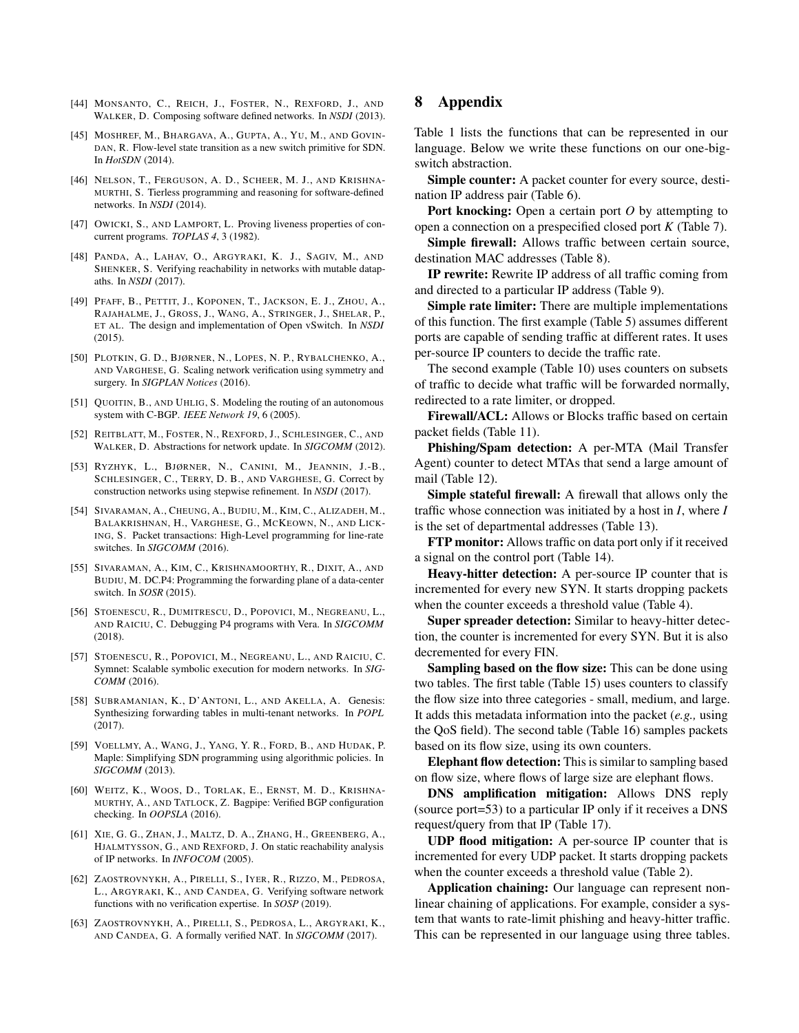- [44] MONSANTO, C., REICH, J., FOSTER, N., REXFORD, J., AND WALKER, D. Composing software defined networks. In *NSDI* (2013).
- [45] MOSHREF, M., BHARGAVA, A., GUPTA, A., YU, M., AND GOVIN-DAN, R. Flow-level state transition as a new switch primitive for SDN. In *HotSDN* (2014).
- [46] NELSON, T., FERGUSON, A. D., SCHEER, M. J., AND KRISHNA-MURTHI, S. Tierless programming and reasoning for software-defined networks. In *NSDI* (2014).
- [47] OWICKI, S., AND LAMPORT, L. Proving liveness properties of concurrent programs. *TOPLAS 4*, 3 (1982).
- [48] PANDA, A., LAHAV, O., ARGYRAKI, K. J., SAGIV, M., AND SHENKER, S. Verifying reachability in networks with mutable datapaths. In *NSDI* (2017).
- [49] PFAFF, B., PETTIT, J., KOPONEN, T., JACKSON, E. J., ZHOU, A., RAJAHALME, J., GROSS, J., WANG, A., STRINGER, J., SHELAR, P., ET AL. The design and implementation of Open vSwitch. In *NSDI* (2015).
- [50] PLOTKIN, G. D., BJØRNER, N., LOPES, N. P., RYBALCHENKO, A., AND VARGHESE, G. Scaling network verification using symmetry and surgery. In *SIGPLAN Notices* (2016).
- [51] QUOITIN, B., AND UHLIG, S. Modeling the routing of an autonomous system with C-BGP. *IEEE Network 19*, 6 (2005).
- [52] REITBLATT, M., FOSTER, N., REXFORD, J., SCHLESINGER, C., AND WALKER, D. Abstractions for network update. In *SIGCOMM* (2012).
- [53] RYZHYK, L., BJØRNER, N., CANINI, M., JEANNIN, J.-B., SCHLESINGER, C., TERRY, D. B., AND VARGHESE, G. Correct by construction networks using stepwise refinement. In *NSDI* (2017).
- [54] SIVARAMAN, A., CHEUNG, A., BUDIU, M., KIM, C., ALIZADEH, M., BALAKRISHNAN, H., VARGHESE, G., MCKEOWN, N., AND LICK-ING, S. Packet transactions: High-Level programming for line-rate switches. In *SIGCOMM* (2016).
- [55] SIVARAMAN, A., KIM, C., KRISHNAMOORTHY, R., DIXIT, A., AND BUDIU, M. DC.P4: Programming the forwarding plane of a data-center switch. In *SOSR* (2015).
- [56] STOENESCU, R., DUMITRESCU, D., POPOVICI, M., NEGREANU, L., AND RAICIU, C. Debugging P4 programs with Vera. In *SIGCOMM* (2018).
- [57] STOENESCU, R., POPOVICI, M., NEGREANU, L., AND RAICIU, C. Symnet: Scalable symbolic execution for modern networks. In *SIG-COMM* (2016).
- [58] SUBRAMANIAN, K., D'ANTONI, L., AND AKELLA, A. Genesis: Synthesizing forwarding tables in multi-tenant networks. In *POPL* (2017).
- [59] VOELLMY, A., WANG, J., YANG, Y. R., FORD, B., AND HUDAK, P. Maple: Simplifying SDN programming using algorithmic policies. In *SIGCOMM* (2013).
- [60] WEITZ, K., WOOS, D., TORLAK, E., ERNST, M. D., KRISHNA-MURTHY, A., AND TATLOCK, Z. Bagpipe: Verified BGP configuration checking. In *OOPSLA* (2016).
- [61] XIE, G. G., ZHAN, J., MALTZ, D. A., ZHANG, H., GREENBERG, A., HJALMTYSSON, G., AND REXFORD, J. On static reachability analysis of IP networks. In *INFOCOM* (2005).
- [62] ZAOSTROVNYKH, A., PIRELLI, S., IYER, R., RIZZO, M., PEDROSA, L., ARGYRAKI, K., AND CANDEA, G. Verifying software network functions with no verification expertise. In *SOSP* (2019).
- [63] ZAOSTROVNYKH, A., PIRELLI, S., PEDROSA, L., ARGYRAKI, K., AND CANDEA, G. A formally verified NAT. In *SIGCOMM* (2017).

# 8 Appendix

Table 1 lists the functions that can be represented in our language. Below we write these functions on our one-bigswitch abstraction.

Simple counter: A packet counter for every source, destination IP address pair (Table 6).

Port knocking: Open a certain port O by attempting to open a connection on a prespecified closed port *K* (Table 7).

Simple firewall: Allows traffic between certain source, destination MAC addresses (Table 8).

IP rewrite: Rewrite IP address of all traffic coming from and directed to a particular IP address (Table 9).

Simple rate limiter: There are multiple implementations of this function. The first example (Table 5) assumes different ports are capable of sending traffic at different rates. It uses per-source IP counters to decide the traffic rate.

The second example (Table 10) uses counters on subsets of traffic to decide what traffic will be forwarded normally, redirected to a rate limiter, or dropped.

Firewall/ACL: Allows or Blocks traffic based on certain packet fields (Table 11).

Phishing/Spam detection: A per-MTA (Mail Transfer Agent) counter to detect MTAs that send a large amount of mail (Table 12).

Simple stateful firewall: A firewall that allows only the traffic whose connection was initiated by a host in *I*, where *I* is the set of departmental addresses (Table 13).

FTP monitor: Allows traffic on data port only if it received a signal on the control port (Table 14).

Heavy-hitter detection: A per-source IP counter that is incremented for every new SYN. It starts dropping packets when the counter exceeds a threshold value (Table 4).

Super spreader detection: Similar to heavy-hitter detection, the counter is incremented for every SYN. But it is also decremented for every FIN.

Sampling based on the flow size: This can be done using two tables. The first table (Table 15) uses counters to classify the flow size into three categories - small, medium, and large. It adds this metadata information into the packet (*e.g.,* using the QoS field). The second table (Table 16) samples packets based on its flow size, using its own counters.

Elephant flow detection: This is similar to sampling based on flow size, where flows of large size are elephant flows.

DNS amplification mitigation: Allows DNS reply (source port=53) to a particular IP only if it receives a DNS request/query from that IP (Table 17).

UDP flood mitigation: A per-source IP counter that is incremented for every UDP packet. It starts dropping packets when the counter exceeds a threshold value (Table 2).

Application chaining: Our language can represent nonlinear chaining of applications. For example, consider a system that wants to rate-limit phishing and heavy-hitter traffic. This can be represented in our language using three tables.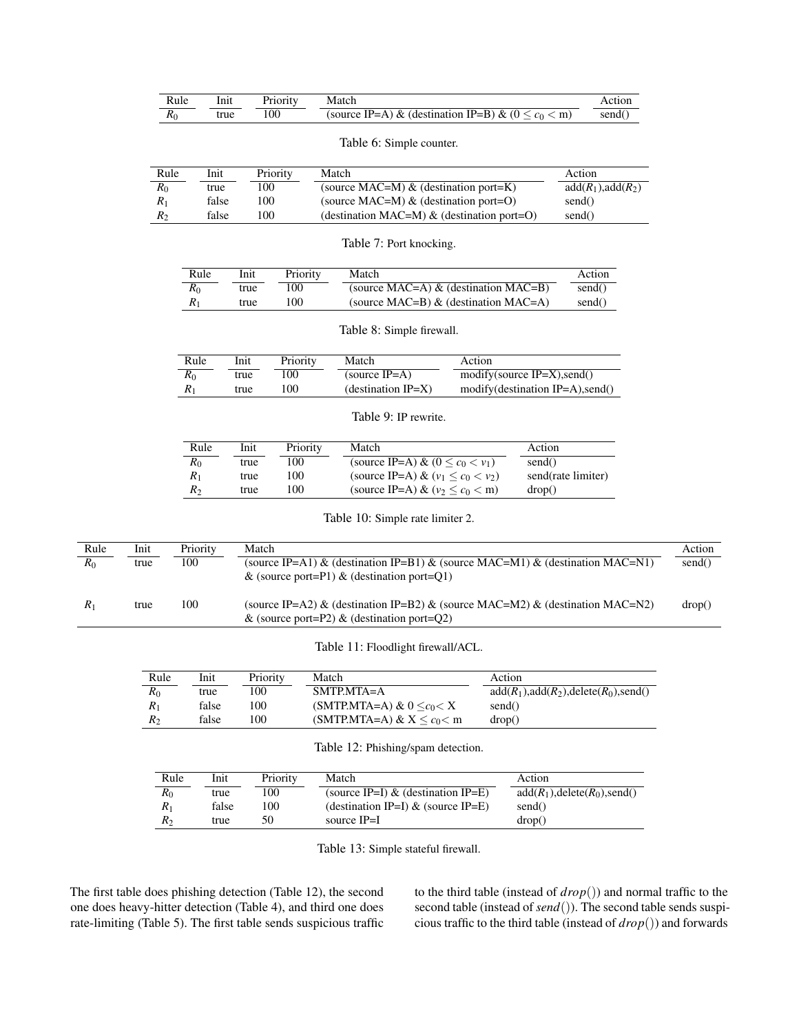| Rule | Inıt | Priority | Match                                                  |        |
|------|------|----------|--------------------------------------------------------|--------|
|      | true | -00      | (source IP=A) & (destination IP=B) & ( $0 < c_0 < m$ ) | send() |

Table 6: Simple counter.

| Rule    | Init  | Priority       | Match                                         | Action               |
|---------|-------|----------------|-----------------------------------------------|----------------------|
| $R_0$   | true  | 100            | (source MAC=M) $\&$ (destination port=K)      | $add(R_1), add(R_2)$ |
| $R_1$   | false | .00            | (source MAC=M) $\&$ (destination port=O)      | send()               |
| $R_{2}$ | false | 0 <sup>0</sup> | (destination MAC=M) $\&$ (destination port=O) | send()               |

|  |  | Table 7: Port knocking. |
|--|--|-------------------------|
|--|--|-------------------------|

| Rule  | Init | Priority | Match                                   | Action |
|-------|------|----------|-----------------------------------------|--------|
| $R_0$ | true | 100      | (source MAC=A) $\&$ (destination MAC=B) | send() |
| $R_1$ | true | '00      | (source MAC=B) $\&$ (destination MAC=A) | send() |

Table 8: Simple firewall.

| Rule  | Init | Priority | Match                 | Action                                             |
|-------|------|----------|-----------------------|----------------------------------------------------|
| $R_0$ | true | 100      | (source $IP=A$ )      | $\text{modify}(\text{source IP=}X), \text{send}()$ |
|       | true | 100      | (destination $IP=X$ ) | modify(destination IP=A), send()                   |

Table 9: IP rewrite.

| Rule           | Init | Priority | Match                                   | Action             |
|----------------|------|----------|-----------------------------------------|--------------------|
| $R_0$          | true | 100      | (source IP=A) & $(0 < c_0 < v_1)$       | send()             |
| $R_1$          | true | 100      | (source IP=A) & $(v_1 < c_0 < v_2)$     | send(rate limiter) |
| R <sub>2</sub> | true | 100      | (source IP=A) & $(v_2 \leq c_0 \leq m)$ | drop()             |

Table 10: Simple rate limiter 2.

| Rule  | Init | Priority | Match                                                                                                                           | Action |
|-------|------|----------|---------------------------------------------------------------------------------------------------------------------------------|--------|
| $R_0$ | true | 100      | (source IP=A1) & (destination IP=B1) & (source MAC=M1) & (destination MAC=N1)<br>& (source port=P1) & (destination port=O1)     | send() |
| $R_1$ | true | 100      | (source IP=A2) & (destination IP=B2) & (source MAC=M2) & (destination MAC=N2)<br>& (source port=P2) & (destination port= $Q2$ ) | drop() |

Table 11: Floodlight firewall/ACL.

| Rule           | Init  | Priority | Match                              | Action                                    |
|----------------|-------|----------|------------------------------------|-------------------------------------------|
| R <sub>0</sub> | true  | 100      | $SMTPMTA=A$                        | $add(R_1), add(R_2), delete(R_0), send()$ |
| $R_1$          | false | 100      | (SMTP.MTA=A) & $0 \leq c_0 \leq X$ | send()                                    |
| $R_{2}$        | false | 100      | (SMTP.MTA=A) & $X \leq c_0 \leq m$ | drop()                                    |

Table 12: Phishing/spam detection.

| Rule    | Init  | Priority | Match                                 | Action                          |
|---------|-------|----------|---------------------------------------|---------------------------------|
| $R_{0}$ | true  | 100      | (source IP=I) & (destination IP=E)    | $add(R_1), delete(R_0), send()$ |
| $R_1$   | false | 100      | (destination IP=I) $\&$ (source IP=E) | send()                          |
| $R_2$   | true  | 50       | source IP=I                           | drop()                          |

Table 13: Simple stateful firewall.

The first table does phishing detection (Table 12), the second one does heavy-hitter detection (Table 4), and third one does rate-limiting (Table 5). The first table sends suspicious traffic to the third table (instead of *drop*()) and normal traffic to the second table (instead of *send*()). The second table sends suspicious traffic to the third table (instead of *drop*()) and forwards